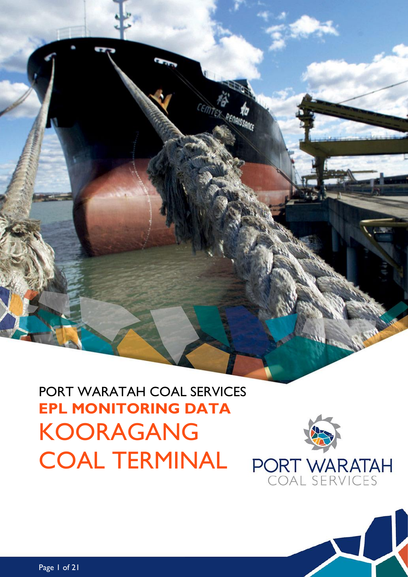PORT WARATAH COAL SERVICES **EPL MONITORING DATA** KOORAGANG COAL TERMINAL



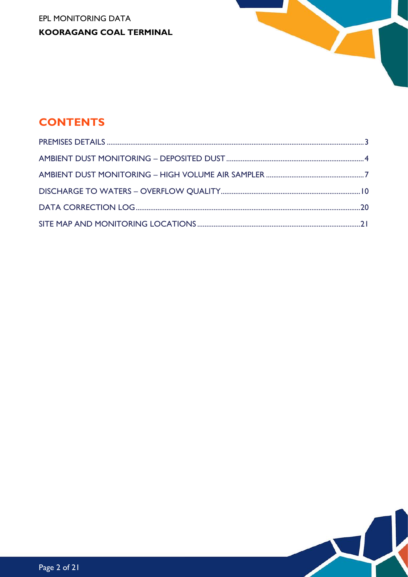EPL MONITORING DATA **KOORAGANG COAL TERMINAL** 



# **CONTENTS**

Page 2 of 21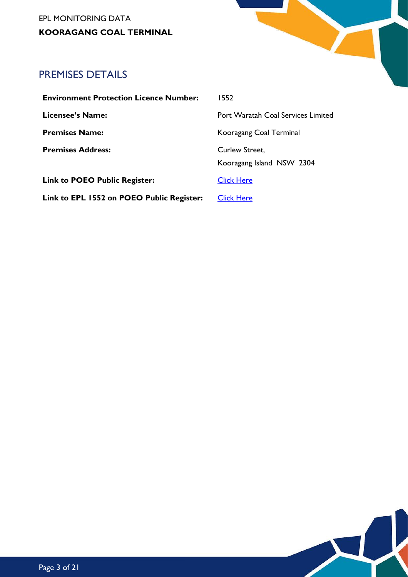EPL MONITORING DATA **KOORAGANG COAL TERMINAL**



# <span id="page-2-0"></span>PREMISES DETAILS

| <b>Environment Protection Licence Number:</b> | 1552                                      |
|-----------------------------------------------|-------------------------------------------|
| Licensee's Name:                              | <b>Port Waratah Coal Services Limited</b> |
| <b>Premises Name:</b>                         | Kooragang Coal Terminal                   |
| <b>Premises Address:</b>                      | <b>Curlew Street.</b>                     |
|                                               | Kooragang Island NSW 2304                 |
| <b>Link to POEO Public Register:</b>          | <b>Click Here</b>                         |
| Link to EPL 1552 on POEO Public Register:     | <b>Click Here</b>                         |
|                                               |                                           |

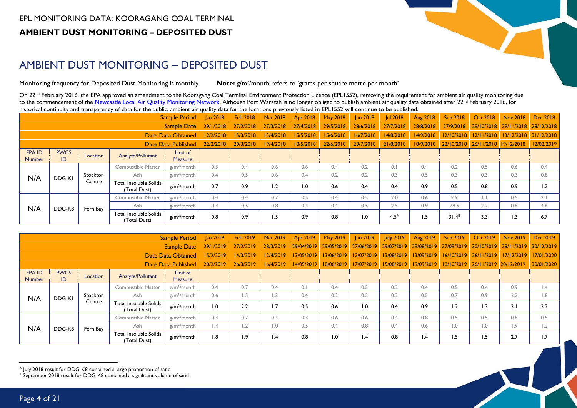

 $\blacktriangleright$ 

# AMBIENT DUST MONITORING – DEPOSITED DUST

Monitoring frequency for Deposited Dust Monitoring is monthly. **Note:** g/m²/month refers to 'grams per square metre per month'

On 22<sup>nd</sup> February 2016, the EPA approved an amendment to the Kooragang Coal Terminal Environment Protection Licence (EPL1552), removing the requirement for ambient air quality monitoring due to the commencement of the [Newcastle Local Air Quality Monitoring Network.](http://www.environment.nsw.gov.au/aqms/newcastlelocalmap.htm) Although Port Waratah is no longer obliged to publish ambient air quality data obtained after 22<sup>nd</sup> February 2016, for historical continuity and transparency of data for the public, ambient air quality data for the locations previously listed in EPL1552 will continue to be published.

|                     |                   |                    |                                        | <b>Sample Period</b>    | <b>Jan 2018</b> | Feb 2018  | Mar 2018  | Apr 2018  | <b>May 2018</b> | <b>Jun 2018</b> | <b>Jul 2018</b>  | Aug 2018  | Sep 2018   | <b>Oct 2018</b>                  | Nov 2018              | Dec 2018   |
|---------------------|-------------------|--------------------|----------------------------------------|-------------------------|-----------------|-----------|-----------|-----------|-----------------|-----------------|------------------|-----------|------------|----------------------------------|-----------------------|------------|
|                     |                   |                    |                                        | Sample Date             | 29/1/2018       | 27/2/2018 | 27/3/2018 | 27/4/2018 | 29/5/2018       | 28/6/2018       | 27/7/2018        | 28/8/2018 | 27/9/2018  |                                  | 29/10/2018 29/11/2018 | 28/12/2018 |
| Date Data Obtained  |                   |                    |                                        |                         | 12/2/2018       | 15/3/2018 | 13/4/2018 | 15/5/2018 | 15/6/2018       | 16/7/2018       | 14/8/2018        | 14/9/2018 | 12/10/2018 |                                  | 12/11/2018 13/12/2018 | 31/12/2018 |
| Date Data Published |                   |                    |                                        |                         | 22/2/2018       | 20/3/2018 | 19/4/2018 | 18/5/2018 | 22/6/2018       | 23/7/2018       | 21/8/2018        | 18/9/2018 |            | 22/10/2018 26/11/2018 19/12/2018 |                       | 12/02/2019 |
| EPA ID<br>Number    | <b>PWCS</b><br>ID | Location           | Analyte/Pollutant                      | Unit of<br>Measure      |                 |           |           |           |                 |                 |                  |           |            |                                  |                       |            |
|                     |                   | Combustible Matter | $g/m^2/m$ onth                         | 0.3                     | 0.4             | 0.6       | 0.6       | 0.4       | 0.2             | 0.1             | 0.4              | 0.2       | 0.5        | 0.6                              | 0.4                   |            |
| N/A                 | DDG-KI            | Stockton           | Ash                                    | $g/m^2/m$ onth          | 0.4             | 0.5       | 0.6       | 0.4       | 0.2             | 0.2             | 0.3              | 0.5       | 0.3        | 0.3                              | 0.3                   | 0.8        |
|                     |                   | Centre             | Total Insoluble Solids<br>(Total Dust) | g/m <sup>2</sup> /month | 0.7             | 0.9       | 1.2       | 1.0       | 0.6             | 0.4             | 0.4              | 0.9       | 0.5        | 0.8                              | 0.9                   | 1.2        |
|                     |                   |                    | <b>Combustible Matter</b>              | $g/m^2/m$ onth          | 0.4             | 0.4       | 0.7       | 0.5       | 0.4             | 0.5             | 2.0              | 0.6       | 2.9        | $\vert . \vert$                  | 0.5                   | 2.1        |
| N/A                 | DDG-K8            | Fern Bay           | Ash                                    | $g/m^2/m$ onth          | 0.4             | 0.5       | 0.8       | 0.4       | 0.4             | 0.5             | 2.5              | 0.9       | 28.5       | 2.2                              | 0.8                   | 4.6        |
|                     |                   |                    | Total Insoluble Solids<br>(Total Dust) | g/m <sup>2</sup> /month | 0.8             | 0.9       | 1.5       | 0.9       | 0.8             | 0.1             | 4.5 <sup>A</sup> | 1.5       | $31.4^B$   | 3.3                              | 1.3                   | 6.7        |

<span id="page-3-0"></span>

|                         |                   |          |                                        | <b>Sample Period</b>      | <b>Jan 2019</b> | Feb 2019         | Mar 2019   |            | Apr 2019   May 2019   | <b>Jun 2019</b> | <b>July 2019</b> | Aug 2019        | Sep 2019                         | <b>Oct 2019</b> | Nov 2019         | Dec 2019         |
|-------------------------|-------------------|----------|----------------------------------------|---------------------------|-----------------|------------------|------------|------------|-----------------------|-----------------|------------------|-----------------|----------------------------------|-----------------|------------------|------------------|
|                         |                   |          |                                        | <b>Sample Date</b>        | 29/1/2019       | 27/2/2019        | 28/3/2019  | 29/04/2019 | 29/05/2019 27/06/2019 |                 |                  |                 | 29/07/2019 29/08/2019 27/09/2019 | 30/10/2019      | 28/11/2019       | 30/12/2019       |
|                         |                   |          |                                        | <b>Date Data Obtained</b> | 15/2/2019       | 14/3/2019        | 12/4/2019  | 13/05/2019 | 13/06/2019            | 12/07/2019      | 13/08/2019       | 13/09/2019      | 16/10/2019                       | 26/11/2019      | 17/12/2019       | 17/01/2020       |
| Date Data Published     |                   |          |                                        | 20/2/2019                 | 26/3/2019       | 16/4/2019        | 14/05/2019 |            | 18/06/2019 17/07/2019 | 15/08/2019      | 19/09/2019       |                 | 18/10/2019 26/11/2019 20/12/2019 |                 | 30/01/2020       |                  |
| EPA ID<br><b>Number</b> | <b>PWCS</b><br>ID | Location | Analyte/Pollutant                      | Unit of<br>Measure        |                 |                  |            |            |                       |                 |                  |                 |                                  |                 |                  |                  |
|                         |                   |          | Combustible Matter                     | $g/m^2/m$ onth            | 0.4             | 0.7              | 0.4        | 0.1        | 0.4                   | 0.5             | 0.2              | 0.4             | 0.5                              | 0.4             | 0.9              | $\mathsf{I}$ .4  |
| N/A                     | DDG-KI            | Stockton | Ash                                    | $g/m^2$ /month            | 0.6             | .5               | L.3        | 0.4        | 0.2                   | 0.5             | 0.2              | 0.5             | 0.7                              | 0.9             | 2.2              | $\overline{1.8}$ |
|                         |                   | Centre   | Total Insoluble Solids<br>(Total Dust) | g/m <sup>2</sup> /month   | 0.1             | 2.2              | 1.7        | 0.5        | 0.6                   | 0. ا            | 0.4              | 0.9             | $\overline{2}$                   | 1.3             | 3.1              | 3.2              |
|                         |                   |          | Combustible Matter                     | $g/m^2/m$ onth            | 0.4             | 0.7              | 0.4        | 0.3        | 0.6                   | 0.6             | 0.4              | 0.8             | 0.5                              | 0.5             | 0.8              | 0.5              |
|                         | DDG-K8            | Fern Bay | Ash                                    | $g/m^2/m$ onth            | .4              | $\overline{1.2}$ | 0.1        | 0.5        | 0.4                   | 0.8             | 0.4              | 0.6             | 0.1                              | 0.1             | $\vert .9 \vert$ | 1.2              |
| N/A                     |                   |          | Total Insoluble Solids<br>(Total Dust) | g/m <sup>2</sup> /month   | 8.،             | 9. ا             | 4. ا       | 0.8        | $\overline{0}$ .      | l.4             | 0.8              | $\mathsf{I}$ .4 | ۱.5                              | 1.5             | 2.7              | 1.7              |

<sup>&</sup>lt;sup>A</sup> July 2018 result for DDG-K8 contained a large proportion of sand<br><sup>B</sup> September 2018 result for DDG-K8 contained a significant volume of sand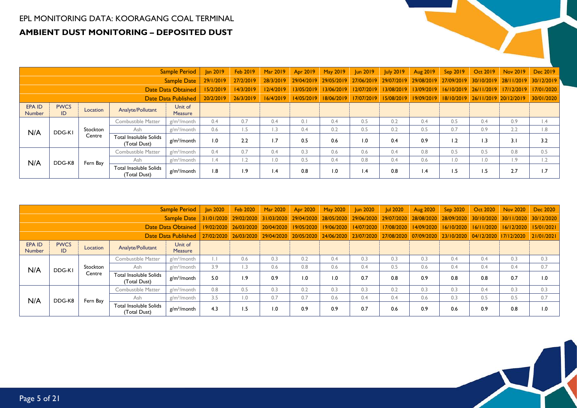## EPL MONITORING DATA: KOORAGANG COAL TERMINAL **AMBIENT DUST MONITORING – DEPOSITED DUST**

|                            |                   |          |                                        | <b>Sample Period</b>      | <b>Jan 2019</b> | <b>Feb 2019</b>  | Mar 2019  | Apr 2019   | May 2019                         | un 2019               | <b>July 2019</b>      | Aug 2019        | Sep 2019   | Oct 2019    Nov 2019             |                       | Dec 2019         |
|----------------------------|-------------------|----------|----------------------------------------|---------------------------|-----------------|------------------|-----------|------------|----------------------------------|-----------------------|-----------------------|-----------------|------------|----------------------------------|-----------------------|------------------|
|                            |                   |          |                                        | <b>Sample Date</b>        | 29/1/2019       | 27/2/2019        | 28/3/2019 |            | 29/04/2019 29/05/2019 27/06/2019 |                       | 29/07/2019 29/08/2019 |                 | 27/09/2019 |                                  | 30/10/2019 28/11/2019 | 30/12/2019       |
|                            |                   |          |                                        | <b>Date Data Obtained</b> | 15/2/2019       | 14/3/2019        | 12/4/2019 |            | 13/05/2019 13/06/2019            | 12/07/2019            | 13/08/2019            | 13/09/2019      | 16/10/2019 |                                  | 26/11/2019 17/12/2019 | 17/01/2020       |
| <b>Date Data Published</b> |                   |          |                                        |                           | 20/2/2019       | 26/3/2019        | 16/4/2019 | 14/05/2019 |                                  | 18/06/2019 17/07/2019 | 15/08/2019            | 19/09/2019      |            | 18/10/2019 26/11/2019 20/12/2019 |                       | 30/01/2020       |
| EPA ID<br><b>Number</b>    | <b>PWCS</b><br>ID | Location | Analyte/Pollutant                      | Unit of<br>Measure        |                 |                  |           |            |                                  |                       |                       |                 |            |                                  |                       |                  |
|                            |                   |          | Combustible Matter                     | $g/m^2/m$ onth            | 0.4             | 0.7              | 0.4       | 0.1        | 0.4                              | 0.5                   | 0.2                   | 0.4             | 0.5        | 0.4                              | 0.9                   | $\mathsf{I}$ .4  |
| N/A                        | DDG-KI            | Stockton | Ash                                    | $g/m^2/m$ onth            | 0.6             | 1.5              | L.3       | 0.4        | 0.2                              | 0.5                   | 0.2                   | 0.5             | 0.7        | 0.9                              | 2.2                   | $\overline{8}$ . |
|                            |                   | Centre   | Total Insoluble Solids<br>(Total Dust) | $g/m^2$ /month            | 0.1             | 2.2              | 1.7       | 0.5        | 0.6                              | 1.0                   | 0.4                   | 0.9             | 1.2        | 1.3                              | 3.1                   | 3.2              |
|                            |                   |          | Combustible Matter                     | $g/m^2/m$ onth            | 0.4             | 0.7              | 0.4       | 0.3        | 0.6                              | 0.6                   | 0.4                   | 0.8             | 0.5        | 0.5                              | 0.8                   | 0.5              |
|                            | DDG-K8            | Fern Bay | Ash                                    | $g/m^2/m$ onth            | $\overline{.4}$ | 1.2              | 0.1       | 0.5        | 0.4                              | 0.8                   | 0.4                   | 0.6             | 0.1        | $\overline{0}$ .                 | $\overline{1.9}$      | 1.2              |
| N/A                        |                   |          | Total Insoluble Solids<br>(Total Dust) | $g/m^2$ /month            | 1.8             | $\overline{1.9}$ | 1.4       | 0.8        | 1.0                              | $\mathsf{I}$ .4       | 0.8                   | $\mathsf{I}$ .4 | 1.5        | 1.5                              | 2.7                   | 1.7              |

|                         |                            |          |                                        | <b>Sample Period</b>      | <b>Jan 2020</b> | Feb 2020                         | Mar 2020 | Apr 2020 | May 2020                         | <b>Jun 2020</b> | <b>Jul 2020</b> | <b>Aug 2020</b>                                        | Sep 2020   | Oct 2020              | Nov 2020                         | Dec 2020   |
|-------------------------|----------------------------|----------|----------------------------------------|---------------------------|-----------------|----------------------------------|----------|----------|----------------------------------|-----------------|-----------------|--------------------------------------------------------|------------|-----------------------|----------------------------------|------------|
|                         |                            |          |                                        | <b>Sample Date</b>        |                 | 31/01/2020 29/02/2020 31/03/2020 |          |          |                                  |                 |                 | 29/04/2020 28/05/2020 29/06/2020 29/07/2020 28/08/2020 | 28/09/2020 |                       | 30/10/2020 30/11/2020 30/12/2020 |            |
|                         |                            |          |                                        | <b>Date Data Obtained</b> |                 | 19/02/2020 26/03/2020 20/04/2020 |          |          | 19/05/2020 19/06/2020            | 14/07/2020      | 17/08/2020      | 14/09/2020                                             | 16/10/2020 |                       | 16/11/2020 16/12/2020 15/01/2021 |            |
|                         | <b>Date Data Published</b> |          |                                        |                           | 27/02/2020      | 26/03/2020 29/04/2020            |          |          | 20/05/2020 24/06/2020 23/07/2020 |                 |                 | 27/08/2020 07/09/2020                                  | 23/10/2020 | 04/12/2020 17/12/2020 |                                  | 21/01/2021 |
| EPA ID<br><b>Number</b> | <b>PWCS</b><br>ID          | Location | Analyte/Pollutant                      | Unit of<br><b>Measure</b> |                 |                                  |          |          |                                  |                 |                 |                                                        |            |                       |                                  |            |
|                         |                            |          | <b>Combustible Matter</b>              | $g/m^2/m$ onth            |                 | 0.6                              | 0.3      | 0.2      | 0.4                              | 0.3             | 0.3             | 0.3                                                    | 0.4        | 0.4                   | 0.3                              | 0.3        |
|                         | DDG-KI                     | Stockton | Ash                                    | $g/m^2/m$ onth            | 3.9             | I.3                              | 0.6      | 0.8      | 0.6                              | 0.4             | 0.5             | 0.6                                                    | 0.4        | 0.4                   | 0.4                              | 0.7        |
| N/A                     |                            | Centre   | Total Insoluble Solids<br>(Total Dust) | g/m <sup>2</sup> /month   | 5.0             | <b>1.9</b>                       | 0.9      | 0. ا     | 1.0                              | 0.7             | 0.8             | 0.9                                                    | 0.8        | 0.8                   | 0.7                              | 1.0        |
|                         |                            |          | <b>Combustible Matter</b>              | $g/m^2/m$ onth            | 0.8             | 0.5                              | 0.3      | 0.2      | 0.3                              | 0.3             | 0.2             | 0.3                                                    | 0.3        | 0.4                   | 0.3                              | 0.3        |
|                         | DDG-K8                     | Fern Bay | Ash                                    | $g/m^2/m$ onth            | 3.5             | 0.1                              | 0.7      | 0.7      | 0.6                              | 0.4             | 0.4             | 0.6                                                    | 0.3        | 0.5                   | 0.5                              | 0.7        |
| N/A                     |                            |          | Total Insoluble Solids<br>(Total Dust) | g/m <sup>2</sup> /month   | 4.3             | 1.5                              | 0.1      | 0.9      | 0.9                              | 0.7             | 0.6             | 0.9                                                    | 0.6        | 0.9                   | 0.8                              | 1.0        |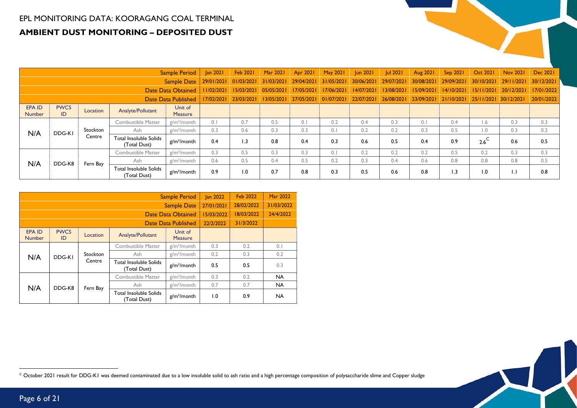#### EPL MONITORING DATA: KOORAGANG COAL TERMINAL **AMBIENT DUST MONITORING – DEPOSITED DUST**

|                         |                   |          |                                        | Sample Period             | <b>Jan 2021</b> | <b>Feb 2021</b>  | <b>Mar 2021</b> | Apr 2021   | <b>May 2021</b> | <b>Jun 2021</b> | <b>Jul 2021</b>       | Aug 2021              | Sep 2021   | Oct 2021              | Nov 2021     | Dec 2021   |
|-------------------------|-------------------|----------|----------------------------------------|---------------------------|-----------------|------------------|-----------------|------------|-----------------|-----------------|-----------------------|-----------------------|------------|-----------------------|--------------|------------|
|                         |                   |          |                                        | <b>Sample Date</b>        | 29/01/2021      | 01/03/2021       | 31/03/2021      | 29/04/2021 | 31/05/2021      | 30/06/2021      | 29/07/2021 30/08/2021 |                       | 29/09/2021 | 30/10/2021 29/11/2021 |              | 30/12/2021 |
|                         |                   |          |                                        | <b>Date Data Obtained</b> | 1/02/2021       | 15/03/2021       | 05/05/2021      | 17/05/2021 | 17/06/2021      | 14/07/2021      | 13/08/2021            | 15/09/2021            | 14/10/2021 | 15/11/2021 20/12/2021 |              | 17/01/2022 |
| Date Data Published     |                   |          |                                        |                           | 17/02/2021      | 23/03/2021       | 13/05/2021      | 27/05/2021 | 01/07/2021      | 22/07/2021      |                       | 26/08/2021 23/09/2021 | 21/10/2021 | 25/11/2021 30/12/2021 |              | 20/01/2022 |
| EPA ID<br><b>Number</b> | <b>PWCS</b><br>ID | Location | Analyte/Pollutant                      | Unit of<br><b>Measure</b> |                 |                  |                 |            |                 |                 |                       |                       |            |                       |              |            |
|                         |                   |          | Combustible Matter                     | $g/m^2/m$ onth            | 0.1             | 0.7              | 0.5             | 0.1        | 0.2             | 0.4             | 0.3                   | 0.1                   | 0.4        | $\overline{1.6}$      | 0.3          | 0.3        |
| N/A                     | DDG-KI            | Stockton | Ash                                    | $g/m^2/m$ onth            | 0.3             | 0.6              | 0.3             | 0.3        | 0.1             | 0.2             | 0.2                   | 0.3                   | 0.5        | $\overline{0}$ .      | 0.3          | 0.2        |
|                         |                   | Centre   | Total Insoluble Solids<br>(Total Dust) | g/m <sup>2</sup> /month   | 0.4             | 1.3              | 0.8             | 0.4        | 0.3             | 0.6             | 0.5                   | 0.4                   | 0.9        | $2.6^\circ$           | 0.6          | 0.5        |
|                         |                   |          | Combustible Matter                     | $g/m^2/m$ onth            | 0.3             | 0.5              | 0.3             | 0.3        | 0.1             | 0.2             | 0.2                   | 0.2                   | 0.5        | 0.2                   | 0.3          | 0.3        |
|                         | DDG-K8            | Fern Bay | Ash                                    | $g/m^2/m$ onth            | 0.6             | 0.5              | 0.4             | 0.5        | 0.2             | 0.3             | 0.4                   | 0.6                   | 0.8        | 0.8                   | 0.8          | 0.5        |
| N/A                     |                   |          | Total Insoluble Solids<br>(Total Dust) | g/m <sup>2</sup> /month   | 0.9             | $\overline{0}$ . | 0.7             | 0.8        | 0.3             | 0.5             | 0.6                   | 0.8                   | 1.3        | 1.0                   | $\mathsf{L}$ | 0.8        |

|                                |                   |          |                                               | <b>Sample Period</b>      | <b>Jan 2022</b> | <b>Feb 2022</b> | <b>Mar 2022</b> |
|--------------------------------|-------------------|----------|-----------------------------------------------|---------------------------|-----------------|-----------------|-----------------|
|                                |                   |          |                                               | <b>Sample Date</b>        | 27/01/2021      | 28/02/2022      | 31/03/2022      |
|                                |                   |          |                                               | Date Data Obtained        | 15/03/2022      | 18/03/2022      | 24/4/2022       |
|                                |                   |          |                                               | Date Data Published       | 22/2/2022       | 31/3/2022       |                 |
| <b>EPA ID</b><br><b>Number</b> | <b>PWCS</b><br>ID | Location | Analyte/Pollutant                             | Unit of<br><b>Measure</b> |                 |                 |                 |
|                                |                   |          | Combustible Matter                            | $g/m^2/m$ onth            | 0.3             | 0.2             | 0.1             |
| N/A                            | DDG-KI            | Stockton | Ash                                           | $g/m^2/m$ onth            | 0.2             | 0.3             | 0.2             |
|                                |                   | Centre   | <b>Total Insoluble Solids</b><br>(Total Dust) | g/m <sup>2</sup> /month   | 0.5             | 0.5             | 0.3             |
|                                |                   |          | Combustible Matter                            | $g/m^2$ /month            | 0.3             | 0.2             | <b>NA</b>       |
|                                | DDG-K8            | Fern Bay | Ash                                           | $g/m^2/m$ onth            | 0.7             | 0.7             | <b>NA</b>       |
| N/A                            |                   |          | <b>Total Insoluble Solids</b><br>(Total Dust) | g/m <sup>2</sup> /month   | 1.0             | 0.9             | <b>NA</b>       |



 $\textdegree$  October 2021 result for DDG-K1 was deemed contaminated due to a low insoluble solid to ash ratio and a high percentage composition of polysaccharide slime and Copper sludge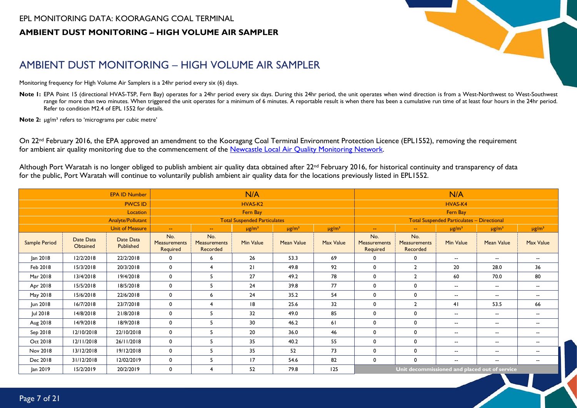#### EPL MONITORING DATA: KOORAGANG COAL TERMINAL **AMBIENT DUST MONITORING – HIGH VOLUME AIR SAMPLER**



# AMBIENT DUST MONITORING – HIGH VOLUME AIR SAMPLER

Monitoring frequency for High Volume Air Samplers is a 24hr period every six (6) days.

Note I: EPA Point 15 (directional HVAS-TSP, Fern Bay) operates for a 24hr period every six days. During this 24hr period, the unit operates when wind direction is from a West-Northwest to West-Southwest range for more than two minutes. When triggered the unit operates for a minimum of 6 minutes. A reportable result is when there has been a cumulative run time of at least four hours in the 24hr period. Refer to condition M2.4 of EPL 1552 for details.

**Note 2:** µg/m<sup>3</sup> refers to 'micrograms per cubic metre'

On 22<sup>nd</sup> February 2016, the EPA approved an amendment to the Kooragang Coal Terminal Environment Protection Licence (EPL1552), removing the requirement for ambient air quality monitoring due to the commencement of the [Newcastle Local Air Quality Monitoring Network.](http://www.environment.nsw.gov.au/aqms/newcastlelocalmap.htm)

Although Port Waratah is no longer obliged to publish ambient air quality data obtained after 22<sup>nd</sup> February 2016, for historical continuity and transparency of data for the public, Port Waratah will continue to voluntarily publish ambient air quality data for the locations previously listed in EPL1552.

<span id="page-6-0"></span>

|               |                       | <b>EPA ID Number</b>     |                                        |                                        | N/A                                 |                   |                        |                                               |                                        | N/A                                               |                          |                          |  |
|---------------|-----------------------|--------------------------|----------------------------------------|----------------------------------------|-------------------------------------|-------------------|------------------------|-----------------------------------------------|----------------------------------------|---------------------------------------------------|--------------------------|--------------------------|--|
|               |                       | <b>PWCS ID</b>           |                                        |                                        | HVAS-K2                             |                   |                        |                                               |                                        | HVAS-K4                                           |                          |                          |  |
|               |                       | Location                 |                                        |                                        | Fern Bay                            |                   |                        |                                               |                                        | Fern Bay                                          |                          |                          |  |
|               |                       | <b>Analyte/Pollutant</b> |                                        |                                        | <b>Total Suspended Particulates</b> |                   |                        |                                               |                                        | <b>Total Suspended Particulates - Directional</b> |                          |                          |  |
|               |                       | <b>Unit of Measure</b>   | $\mathbf{u}$                           | $\sim$                                 | $\mu$ g/m <sup>3</sup>              | $\mu g/m^3$       | $\mu$ g/m <sup>3</sup> | $\sim$                                        | $\sim$                                 | $\mu$ g/m <sup>3</sup>                            | $\mu$ g/m <sup>3</sup>   | $\mu$ g/m <sup>3</sup>   |  |
| Sample Period | Date Data<br>Obtained | Date Data<br>Published   | No.<br><b>Measurements</b><br>Required | No.<br><b>Measurements</b><br>Recorded | Min Value                           | <b>Mean Value</b> | Max Value              | No.<br><b>Measurements</b><br>Required        | No.<br><b>Measurements</b><br>Recorded | <b>Min Value</b>                                  | <b>Mean Value</b>        | Max Value                |  |
| Jan 2018      | 12/2/2018             | 22/2/2018                | 0                                      | 6                                      | 26                                  | 53.3              | 69                     | 0                                             | $\mathbf 0$                            | $- -$                                             | $- -$                    | $\overline{\phantom{a}}$ |  |
| Feb 2018      | 15/3/2018             | 20/3/2018                | $\mathbf 0$                            | $\overline{4}$                         | 21                                  | 49.8              | 92                     | $\mathbf 0$                                   | $\overline{2}$                         | 20                                                | 28.0                     | 36                       |  |
| Mar 2018      | 13/4/2018             | 19/4/2018                | $\mathbf 0$                            | 5                                      | 27                                  | 49.2              | 78                     | $\mathbf 0$                                   | $\overline{2}$                         | 60                                                | 70.0                     | 80                       |  |
| Apr 2018      | 15/5/2018             | 18/5/2018                | 0                                      | -5                                     | 24                                  | 39.8              | 77                     | $\mathbf 0$                                   | $\mathbf 0$                            | $- -$                                             | --                       | $\overline{\phantom{a}}$ |  |
| May 2018      | 15/6/2018             | 22/6/2018                | 0                                      | 6                                      | 24                                  | 35.2              | 54                     | 0                                             | 0                                      | $- -$                                             | --                       | $\overline{\phantom{a}}$ |  |
| Jun 2018      | 16/7/2018             | 23/7/2018                | 0                                      | $\overline{4}$                         | 8                                   | 25.6              | 32                     | 0                                             | $\overline{2}$                         | 41                                                | 53.5                     | 66                       |  |
| Jul 2018      | 14/8/2018             | 21/8/2018                | 0                                      | -5                                     | 32                                  | 49.0              | 85                     | $\mathbf 0$                                   | 0                                      | $- -$                                             | --                       | --                       |  |
| Aug 2018      | 14/9/2018             | 18/9/2018                | 0                                      | 5                                      | 30                                  | 46.2              | 61                     | $\mathbf 0$                                   | 0                                      | $- -$                                             | --                       | $\overline{\phantom{a}}$ |  |
| Sep 2018      | 12/10/2018            | 22/10/2018               | 0                                      | -5                                     | 20                                  | 36.0              | 46                     | 0                                             | 0                                      | $- -$                                             | --                       | $\overline{\phantom{a}}$ |  |
| Oct 2018      | 12/11/2018            | 26/11/2018               | $\mathbf 0$                            | 5                                      | 35                                  | 40.2              | 55                     | $\mathbf 0$                                   | 0                                      | $- -$                                             | $\overline{\phantom{a}}$ | --                       |  |
| Nov 2018      | 13/12/2018            | 19/12/2018               | 0                                      | -5                                     | 35                                  | 52                | 73                     | 0                                             | 0                                      | $- -$                                             | --                       | --                       |  |
| Dec 2018      | 31/12/2018            | 12/02/2019               | 0                                      | -5                                     | 17                                  | 54.6              | 82                     | 0                                             | $\mathbf{0}$                           | $- -$                                             | $\overline{\phantom{a}}$ | $\overline{\phantom{a}}$ |  |
| Jan 2019      | 15/2/2019             | 20/2/2019                | 0                                      | $\overline{4}$                         | 52                                  | 79.8              | 125                    | Unit decommissioned and placed out of service |                                        |                                                   |                          |                          |  |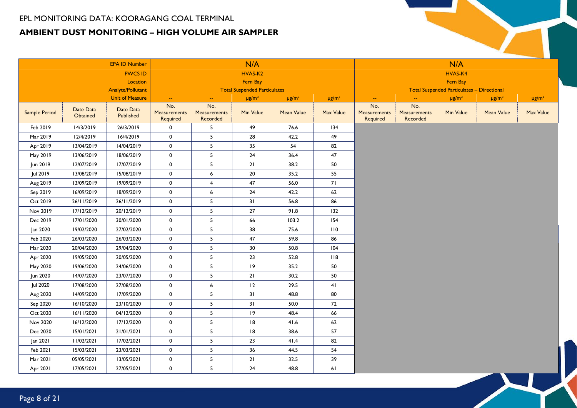#### EPL MONITORING DATA: KOORAGANG COAL TERMINAL **AMBIENT DUST MONITORING – HIGH VOLUME AIR SAMPLER**

|               |                       | <b>EPA ID Number</b>     |                                        |                                 | N/A                                 |                        |                          |                                        |                                 | N/A                                               |                        |             |
|---------------|-----------------------|--------------------------|----------------------------------------|---------------------------------|-------------------------------------|------------------------|--------------------------|----------------------------------------|---------------------------------|---------------------------------------------------|------------------------|-------------|
|               |                       | <b>PWCS ID</b>           |                                        |                                 | HVAS-K2                             |                        |                          |                                        |                                 | HVAS-K4                                           |                        |             |
|               |                       | Location                 |                                        |                                 | Fern Bay                            |                        |                          |                                        |                                 | Fern Bay                                          |                        |             |
|               |                       | <b>Analyte/Pollutant</b> |                                        |                                 | <b>Total Suspended Particulates</b> |                        |                          |                                        |                                 | <b>Total Suspended Particulates - Directional</b> |                        |             |
|               |                       | <b>Unit of Measure</b>   | ÷.                                     | $\sim$                          | $\mu g/m^3$                         | $\mu$ g/m <sup>3</sup> | $\mu\text{g}/\text{m}^3$ | $\rightarrow$                          | ÷.                              | $\mu$ g/m <sup>3</sup>                            | $\mu$ g/m <sup>3</sup> | $\mu g/m^3$ |
| Sample Period | Date Data<br>Obtained | Date Data<br>Published   | No.<br><b>Measurements</b><br>Required | No.<br>Measurements<br>Recorded | Min Value                           | <b>Mean Value</b>      | Max Value                | No.<br><b>Measurements</b><br>Required | No.<br>Measurements<br>Recorded | Min Value                                         | <b>Mean Value</b>      | Max Value   |
| Feb 2019      | 14/3/2019             | 26/3/2019                | 0                                      | 5                               | 49                                  | 76.6                   | 134                      |                                        |                                 |                                                   |                        |             |
| Mar 2019      | 12/4/2019             | 16/4/2019                | $\pmb{0}$                              | 5                               | 28                                  | 42.2                   | 49                       |                                        |                                 |                                                   |                        |             |
| Apr 2019      | 13/04/2019            | 14/04/2019               | 0                                      | 5                               | 35                                  | 54                     | 82                       |                                        |                                 |                                                   |                        |             |
| May 2019      | 13/06/2019            | 18/06/2019               | $\pmb{0}$                              | 5                               | 24                                  | 36.4                   | 47                       |                                        |                                 |                                                   |                        |             |
| Jun 2019      | 12/07/2019            | 17/07/2019               | $\pmb{0}$                              | 5                               | 21                                  | 38.2                   | 50                       |                                        |                                 |                                                   |                        |             |
| Jul 2019      | 13/08/2019            | 15/08/2019               | $\pmb{0}$                              | 6                               | 20                                  | 35.2                   | 55                       |                                        |                                 |                                                   |                        |             |
| Aug 2019      | 13/09/2019            | 19/09/2019               | 0                                      | 4                               | 47                                  | 56.0                   | 71                       |                                        |                                 |                                                   |                        |             |
| Sep 2019      | 16/09/2019            | 18/09/2019               | 0                                      | 6                               | 24                                  | 42.2                   | 62                       |                                        |                                 |                                                   |                        |             |
| Oct 2019      | 26/11/2019            | 26/11/2019               | 0                                      | 5                               | 31                                  | 56.8                   | 86                       |                                        |                                 |                                                   |                        |             |
| Nov 2019      | 17/12/2019            | 20/12/2019               | $\mathbf 0$                            | 5                               | 27                                  | 91.8                   | 132                      |                                        |                                 |                                                   |                        |             |
| Dec 2019      | 17/01/2020            | 30/01/2020               | 0                                      | 5                               | 66                                  | 103.2                  | 154                      |                                        |                                 |                                                   |                        |             |
| Jan 2020      | 19/02/2020            | 27/02/2020               | $\pmb{0}$                              | 5                               | 38                                  | 75.6                   | 110                      |                                        |                                 |                                                   |                        |             |
| Feb 2020      | 26/03/2020            | 26/03/2020               | 0                                      | 5                               | 47                                  | 59.8                   | 86                       |                                        |                                 |                                                   |                        |             |
| Mar 2020      | 20/04/2020            | 29/04/2020               | $\pmb{0}$                              | 5                               | 30                                  | 50.8                   | 104                      |                                        |                                 |                                                   |                        |             |
| Apr 2020      | 19/05/2020            | 20/05/2020               | $\pmb{0}$                              | 5                               | 23                                  | 52.8                   | 118                      |                                        |                                 |                                                   |                        |             |
| May 2020      | 19/06/2020            | 24/06/2020               | 0                                      | 5                               | 19                                  | 35.2                   | 50                       |                                        |                                 |                                                   |                        |             |
| Jun 2020      | 14/07/2020            | 23/07/2020               | $\pmb{0}$                              | 5                               | 21                                  | 30.2                   | 50                       |                                        |                                 |                                                   |                        |             |
| Jul 2020      | 17/08/2020            | 27/08/2020               | 0                                      | 6                               | 12                                  | 29.5                   | 41                       |                                        |                                 |                                                   |                        |             |
| Aug 2020      | 14/09/2020            | 17/09/2020               | $\pmb{0}$                              | 5                               | 31                                  | 48.8                   | 80                       |                                        |                                 |                                                   |                        |             |
| Sep 2020      | 16/10/2020            | 23/10/2020               | 0                                      | 5                               | 31                                  | 50.0                   | 72                       |                                        |                                 |                                                   |                        |             |
| Oct 2020      | 16/11/2020            | 04/12/2020               | 0                                      | 5                               | 9                                   | 48.4                   | 66                       |                                        |                                 |                                                   |                        |             |
| Nov 2020      | 16/12/2020            | 17/12/2020               | 0                                      | 5                               | 18                                  | 41.6                   | 62                       |                                        |                                 |                                                   |                        |             |
| Dec 2020      | 15/01/2021            | 21/01/2021               | $\pmb{0}$                              | 5                               | $\sqrt{8}$                          | 38.6                   | 57                       |                                        |                                 |                                                   |                        |             |
| Jan 2021      | 11/02/2021            | 17/02/2021               | 0                                      | 5                               | 23                                  | 41.4                   | 82                       |                                        |                                 |                                                   |                        |             |
| Feb 2021      | 15/03/2021            | 23/03/2021               | $\mathbf 0$                            | 5                               | 36                                  | 44.5                   | 54                       |                                        |                                 |                                                   |                        |             |
| Mar 2021      | 05/05/2021            | 13/05/2021               | 0                                      | $\sqrt{5}$                      | 21                                  | 32.5                   | 39                       |                                        |                                 |                                                   |                        |             |
| Apr 2021      | 17/05/2021            | 27/05/2021               | $\pmb{0}$                              | 5                               | 24                                  | 48.8                   | 61                       |                                        |                                 |                                                   |                        |             |
|               |                       |                          |                                        |                                 |                                     |                        |                          |                                        |                                 |                                                   |                        |             |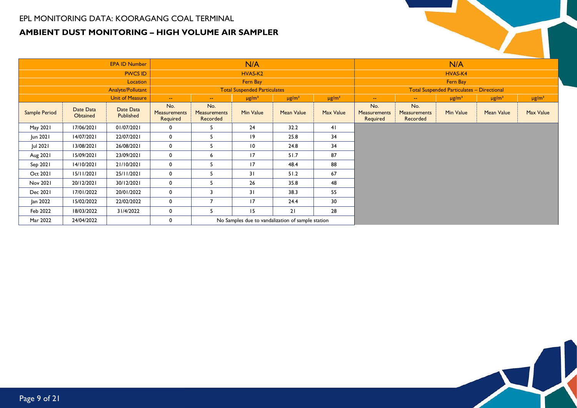#### EPL MONITORING DATA: KOORAGANG COAL TERMINAL **AMBIENT DUST MONITORING – HIGH VOLUME AIR SAMPLER**

|                      |                       | <b>EPA ID Number</b>     |                                 |                                 | N/A                                 |                                                   |                        |                                        |                                 | N/A                                               |                        |                        |
|----------------------|-----------------------|--------------------------|---------------------------------|---------------------------------|-------------------------------------|---------------------------------------------------|------------------------|----------------------------------------|---------------------------------|---------------------------------------------------|------------------------|------------------------|
|                      |                       | <b>PWCS ID</b>           |                                 |                                 | HVAS-K2                             |                                                   |                        |                                        |                                 | HVAS-K4                                           |                        |                        |
|                      |                       | Location                 |                                 |                                 | Fern Bay                            |                                                   |                        |                                        |                                 | Fern Bay                                          |                        |                        |
|                      |                       | <b>Analyte/Pollutant</b> |                                 |                                 | <b>Total Suspended Particulates</b> |                                                   |                        |                                        |                                 | <b>Total Suspended Particulates - Directional</b> |                        |                        |
|                      |                       | <b>Unit of Measure</b>   | $\sim$                          | $\sim$                          | $\mu$ g/m <sup>3</sup>              | $\mu$ g/m <sup>3</sup>                            | $\mu$ g/m <sup>3</sup> | $\sim$ $\sim$                          | $\mathbf{u}$                    | $\mu$ g/m <sup>3</sup>                            | $\mu$ g/m <sup>3</sup> | $\mu$ g/m <sup>3</sup> |
| <b>Sample Period</b> | Date Data<br>Obtained | Date Data<br>Published   | No.<br>Measurements<br>Required | No.<br>Measurements<br>Recorded | Min Value                           | <b>Mean Value</b>                                 | Max Value              | No.<br><b>Measurements</b><br>Required | No.<br>Measurements<br>Recorded | Min Value                                         | <b>Mean Value</b>      | Max Value              |
| May 2021             | 17/06/2021            | 01/07/2021               | $\mathbf 0$                     | ь                               | 24                                  | 32.2                                              | 41                     |                                        |                                 |                                                   |                        |                        |
| Jun 2021             | 14/07/2021            | 22/07/2021               | $\mathbf 0$                     | 5                               | 9                                   | 25.8                                              | 34                     |                                        |                                 |                                                   |                        |                        |
| Jul 2021             | 13/08/2021            | 26/08/2021               | $\mathbf 0$                     | 5                               | $\overline{10}$                     | 24.8                                              | 34                     |                                        |                                 |                                                   |                        |                        |
| Aug 2021             | 15/09/2021            | 23/09/2021               | $\mathbf 0$                     | 6                               | 17                                  | 51.7                                              | 87                     |                                        |                                 |                                                   |                        |                        |
| Sep 2021             | 14/10/2021            | 21/10/2021               | $\mathbf 0$                     | 5                               | 17                                  | 48.4                                              | 88                     |                                        |                                 |                                                   |                        |                        |
| Oct 2021             | 15/11/2021            | 25/11/2021               | $\mathbf 0$                     | 5                               | 31                                  | 51.2                                              | 67                     |                                        |                                 |                                                   |                        |                        |
| Nov 2021             | 20/12/2021            | 30/12/2021               | $\mathbf 0$                     | 5                               | 26                                  | 35.8                                              | 48                     |                                        |                                 |                                                   |                        |                        |
| Dec 2021             | 17/01/2022            | 20/01/2022               | $\mathbf 0$                     | $\overline{\mathbf{3}}$         | 31                                  | 38.3                                              | 55                     |                                        |                                 |                                                   |                        |                        |
| Jan 2022             | 15/02/2022            | 22/02/2022               | $\mathbf 0$                     | $\overline{7}$                  | 17                                  | 24.4                                              | 30                     |                                        |                                 |                                                   |                        |                        |
| Feb 2022             | 18/03/2022            | 31/4/2022                | $\mathbf 0$                     | 5.                              | 15                                  | 21                                                | 28                     |                                        |                                 |                                                   |                        |                        |
| Mar 2022             | 24/04/2022            |                          | 0                               |                                 |                                     | No Samples due to vandalization of sample station |                        |                                        |                                 |                                                   |                        |                        |

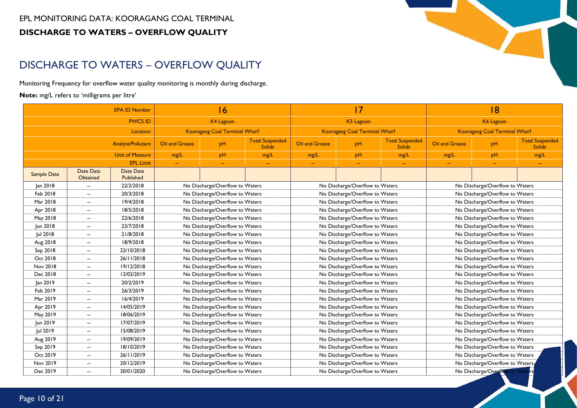# DISCHARGE TO WATERS – OVERFLOW QUALITY

Monitoring Frequency for overflow water quality monitoring is monthly during discharge.

**Note:** mg/L refers to 'milligrams per litre'

<span id="page-9-0"></span>

|             |                          | <b>EPA ID Number</b>     |                                 | 16                                   |                                         |                | 17                                   |                                         |                | 18                              |                                         |
|-------------|--------------------------|--------------------------|---------------------------------|--------------------------------------|-----------------------------------------|----------------|--------------------------------------|-----------------------------------------|----------------|---------------------------------|-----------------------------------------|
|             |                          | <b>PWCS ID</b>           |                                 | <b>K4 Lagoon</b>                     |                                         |                | K5 Lagoon                            |                                         |                | K6 Lagoon                       |                                         |
|             |                          | Location                 |                                 | <b>Kooragang Coal Terminal Wharf</b> |                                         |                | <b>Kooragang Coal Terminal Wharf</b> |                                         |                | Kooragang Coal Terminal Wharf   |                                         |
|             |                          | <b>Analyte/Pollutant</b> | Oil and Grease                  | pH                                   | <b>Total Suspended</b><br><b>Solids</b> | Oil and Grease | pH                                   | <b>Total Suspended</b><br><b>Solids</b> | Oil and Grease | pH                              | <b>Total Suspended</b><br><b>Solids</b> |
|             |                          | <b>Unit of Measure</b>   | mg/L                            | pH                                   | mg/L                                    | mg/L           | pH                                   | mg/L                                    | mg/L           | pH                              | mg/L                                    |
|             |                          | <b>EPL Limit</b>         | $\mathbb{Z}^2$                  | $\sim$                               | $\mathbb{Z}^2$                          | ÷.             | $\mathbb{L} \mathbb{L}$              | $\overline{a}$                          | u,             | $\mathbb{L} \mathbb{L}$         | $\mathbb{L} \mathbb{L}$                 |
| Sample Date | Date Data<br>Obtained    | Date Data<br>Published   |                                 |                                      |                                         |                |                                      |                                         |                |                                 |                                         |
| Jan 2018    | $\overline{\phantom{a}}$ | 22/2/2018                |                                 | No Discharge/Overflow to Waters      |                                         |                | No Discharge/Overflow to Waters      |                                         |                | No Discharge/Overflow to Waters |                                         |
| Feb 2018    | $\overline{\phantom{a}}$ | 20/3/2018                |                                 | No Discharge/Overflow to Waters      |                                         |                | No Discharge/Overflow to Waters      |                                         |                | No Discharge/Overflow to Waters |                                         |
| Mar 2018    | $\overline{\phantom{a}}$ | 19/4/2018                |                                 | No Discharge/Overflow to Waters      |                                         |                | No Discharge/Overflow to Waters      |                                         |                | No Discharge/Overflow to Waters |                                         |
| Apr 2018    | $\overline{\phantom{a}}$ | 18/5/2018                |                                 | No Discharge/Overflow to Waters      |                                         |                | No Discharge/Overflow to Waters      |                                         |                | No Discharge/Overflow to Waters |                                         |
| May 2018    | $\overline{\phantom{a}}$ | 22/6/2018                |                                 | No Discharge/Overflow to Waters      |                                         |                | No Discharge/Overflow to Waters      |                                         |                | No Discharge/Overflow to Waters |                                         |
| Jun 2018    | $\overline{\phantom{a}}$ | 23/7/2018                | No Discharge/Overflow to Waters |                                      |                                         |                | No Discharge/Overflow to Waters      |                                         |                | No Discharge/Overflow to Waters |                                         |
| Jul 2018    | $\overline{\phantom{a}}$ | 21/8/2018                | No Discharge/Overflow to Waters |                                      |                                         |                | No Discharge/Overflow to Waters      |                                         |                | No Discharge/Overflow to Waters |                                         |
| Aug 2018    | $\overline{\phantom{a}}$ | 18/9/2018                | No Discharge/Overflow to Waters |                                      |                                         |                | No Discharge/Overflow to Waters      |                                         |                | No Discharge/Overflow to Waters |                                         |
| Sep 2018    | $\overline{\phantom{a}}$ | 22/10/2018               |                                 | No Discharge/Overflow to Waters      |                                         |                | No Discharge/Overflow to Waters      |                                         |                | No Discharge/Overflow to Waters |                                         |
| Oct 2018    | $\overline{\phantom{a}}$ | 26/11/2018               |                                 | No Discharge/Overflow to Waters      |                                         |                | No Discharge/Overflow to Waters      |                                         |                | No Discharge/Overflow to Waters |                                         |
| Nov 2018    | $\overline{\phantom{a}}$ | 19/12/2018               |                                 | No Discharge/Overflow to Waters      |                                         |                | No Discharge/Overflow to Waters      |                                         |                | No Discharge/Overflow to Waters |                                         |
| Dec 2018    | $\overline{\phantom{a}}$ | 12/02/2019               |                                 | No Discharge/Overflow to Waters      |                                         |                | No Discharge/Overflow to Waters      |                                         |                | No Discharge/Overflow to Waters |                                         |
| Jan 2019    | $\overline{\phantom{a}}$ | 20/2/2019                |                                 | No Discharge/Overflow to Waters      |                                         |                | No Discharge/Overflow to Waters      |                                         |                | No Discharge/Overflow to Waters |                                         |
| Feb 2019    | $\overline{\phantom{a}}$ | 26/3/2019                |                                 | No Discharge/Overflow to Waters      |                                         |                | No Discharge/Overflow to Waters      |                                         |                | No Discharge/Overflow to Waters |                                         |
| Mar 2019    | $\overline{\phantom{a}}$ | 16/4/2019                |                                 | No Discharge/Overflow to Waters      |                                         |                | No Discharge/Overflow to Waters      |                                         |                | No Discharge/Overflow to Waters |                                         |
| Apr 2019    | $\overline{\phantom{a}}$ | 14/05/2019               |                                 | No Discharge/Overflow to Waters      |                                         |                | No Discharge/Overflow to Waters      |                                         |                | No Discharge/Overflow to Waters |                                         |
| May 2019    | $\overline{\phantom{a}}$ | 18/06/2019               |                                 | No Discharge/Overflow to Waters      |                                         |                | No Discharge/Overflow to Waters      |                                         |                | No Discharge/Overflow to Waters |                                         |
| Jun 2019    | $\overline{\phantom{a}}$ | 17/07/2019               |                                 | No Discharge/Overflow to Waters      |                                         |                | No Discharge/Overflow to Waters      |                                         |                | No Discharge/Overflow to Waters |                                         |
| Jul 2019    | $\overline{\phantom{a}}$ | 15/08/2019               |                                 | No Discharge/Overflow to Waters      |                                         |                | No Discharge/Overflow to Waters      |                                         |                | No Discharge/Overflow to Waters |                                         |
| Aug 2019    | $\overline{\phantom{a}}$ | 19/09/2019               | No Discharge/Overflow to Waters |                                      |                                         |                | No Discharge/Overflow to Waters      |                                         |                | No Discharge/Overflow to Waters |                                         |
| Sep 2019    | $\overline{\phantom{a}}$ | 18/10/2019               |                                 | No Discharge/Overflow to Waters      |                                         |                | No Discharge/Overflow to Waters      |                                         |                | No Discharge/Overflow to Waters |                                         |
| Oct 2019    | $\overline{\phantom{a}}$ | 26/11/2019               | No Discharge/Overflow to Waters |                                      |                                         |                | No Discharge/Overflow to Waters      |                                         |                | No Discharge/Overflow to Waters |                                         |
| Nov 2019    | $\overline{\phantom{a}}$ | 20/12/2019               |                                 | No Discharge/Overflow to Waters      |                                         |                | No Discharge/Overflow to Waters      |                                         |                | No Discharge/Overflow to Waters |                                         |
| Dec 2019    | $\overline{\phantom{a}}$ | 30/01/2020               |                                 | No Discharge/Overflow to Waters      |                                         |                | No Discharge/Overflow to Waters      |                                         |                | No Discharge/Overflow to Waters |                                         |

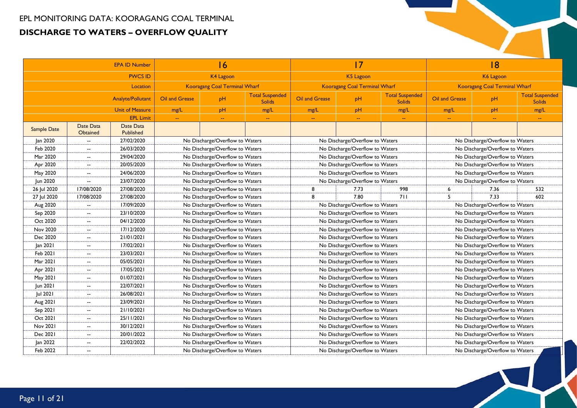| <b>EPA ID Number</b> |                          |                        |                                 | 16                              |                                         |                                 | 17                                   |                                         |                                 | 18                                   |                                         |  |
|----------------------|--------------------------|------------------------|---------------------------------|---------------------------------|-----------------------------------------|---------------------------------|--------------------------------------|-----------------------------------------|---------------------------------|--------------------------------------|-----------------------------------------|--|
|                      |                          | <b>PWCS ID</b>         |                                 | K4 Lagoon                       |                                         |                                 | K5 Lagoon                            |                                         |                                 | K6 Lagoon                            |                                         |  |
|                      |                          | Location               |                                 | Kooragang Coal Terminal Wharf   |                                         |                                 | <b>Kooragang Coal Terminal Wharf</b> |                                         |                                 | <b>Kooragang Coal Terminal Wharf</b> |                                         |  |
|                      |                          | Analyte/Pollutant      | Oil and Grease                  | pH                              | <b>Total Suspended</b><br><b>Solids</b> | Oil and Grease                  | pH                                   | <b>Total Suspended</b><br><b>Solids</b> | Oil and Grease                  | pH                                   | <b>Total Suspended</b><br><b>Solids</b> |  |
|                      |                          | <b>Unit of Measure</b> | mg/L                            | pH                              | mg/L                                    | mg/L                            | pH                                   | mg/L                                    | mg/L                            | pH                                   | mg/L                                    |  |
|                      |                          | <b>EPL Limit</b>       | $-$                             | ÷-                              |                                         | 44                              |                                      |                                         |                                 | 44                                   | 44                                      |  |
| <b>Sample Date</b>   | Date Data<br>Obtained    | Date Data<br>Published |                                 |                                 |                                         |                                 |                                      |                                         |                                 |                                      |                                         |  |
| Jan 2020             | $\overline{\phantom{a}}$ | 27/02/2020             |                                 | No Discharge/Overflow to Waters |                                         |                                 | No Discharge/Overflow to Waters      |                                         |                                 | No Discharge/Overflow to Waters      |                                         |  |
| Feb 2020             | $\overline{\phantom{a}}$ | 26/03/2020             |                                 | No Discharge/Overflow to Waters |                                         |                                 | No Discharge/Overflow to Waters      |                                         |                                 | No Discharge/Overflow to Waters      |                                         |  |
| Mar 2020             | $\overline{a}$           | 29/04/2020             |                                 | No Discharge/Overflow to Waters |                                         |                                 | No Discharge/Overflow to Waters      |                                         |                                 | No Discharge/Overflow to Waters      |                                         |  |
| Apr 2020             | $\overline{\phantom{a}}$ | 20/05/2020             |                                 | No Discharge/Overflow to Waters |                                         |                                 | No Discharge/Overflow to Waters      |                                         |                                 | No Discharge/Overflow to Waters      |                                         |  |
| May 2020             | $\overline{\phantom{a}}$ | 24/06/2020             |                                 | No Discharge/Overflow to Waters |                                         |                                 | No Discharge/Overflow to Waters      |                                         |                                 | No Discharge/Overflow to Waters      |                                         |  |
| Jun 2020             | $\overline{\phantom{a}}$ | 23/07/2020             | No Discharge/Overflow to Waters |                                 |                                         | No Discharge/Overflow to Waters |                                      |                                         |                                 | No Discharge/Overflow to Waters      |                                         |  |
| 26 Jul 2020          | 17/08/2020               | 27/08/2020             | No Discharge/Overflow to Waters |                                 | 8                                       | 7.73                            | 998                                  | 6                                       | 7.36                            | 532                                  |                                         |  |
| 27 Jul 2020          | 17/08/2020               | 27/08/2020             | No Discharge/Overflow to Waters |                                 | 8                                       | 7.80                            | 711                                  | 5                                       | 7.33                            | 602                                  |                                         |  |
| Aug 2020             | $\overline{\phantom{a}}$ | 17/09/2020             | No Discharge/Overflow to Waters |                                 |                                         | No Discharge/Overflow to Waters |                                      |                                         | No Discharge/Overflow to Waters |                                      |                                         |  |
| Sep 2020             | $\overline{\phantom{a}}$ | 23/10/2020             |                                 | No Discharge/Overflow to Waters |                                         |                                 | No Discharge/Overflow to Waters      |                                         |                                 | No Discharge/Overflow to Waters      |                                         |  |
| Oct 2020             | $\overline{\phantom{a}}$ | 04/12/2020             |                                 | No Discharge/Overflow to Waters |                                         |                                 | No Discharge/Overflow to Waters      |                                         |                                 | No Discharge/Overflow to Waters      |                                         |  |
| Nov 2020             | $\overline{\phantom{a}}$ | 17/12/2020             |                                 | No Discharge/Overflow to Waters |                                         | No Discharge/Overflow to Waters |                                      |                                         |                                 | No Discharge/Overflow to Waters      |                                         |  |
| Dec 2020             | $\overline{\phantom{a}}$ | 21/01/2021             |                                 | No Discharge/Overflow to Waters |                                         | No Discharge/Overflow to Waters |                                      |                                         |                                 | No Discharge/Overflow to Waters      |                                         |  |
| Jan 2021             | $\overline{\phantom{a}}$ | 17/02/2021             |                                 | No Discharge/Overflow to Waters |                                         | No Discharge/Overflow to Waters |                                      |                                         |                                 | No Discharge/Overflow to Waters      |                                         |  |
| Feb 2021             | $\overline{\phantom{a}}$ | 23/03/2021             |                                 | No Discharge/Overflow to Waters |                                         | No Discharge/Overflow to Waters |                                      |                                         |                                 | No Discharge/Overflow to Waters      |                                         |  |
| Mar 2021             | $\overline{\phantom{a}}$ | 05/05/2021             |                                 | No Discharge/Overflow to Waters |                                         |                                 | No Discharge/Overflow to Waters      |                                         |                                 | No Discharge/Overflow to Waters      |                                         |  |
| Apr 2021             | $\overline{\phantom{a}}$ | 17/05/2021             |                                 | No Discharge/Overflow to Waters |                                         |                                 | No Discharge/Overflow to Waters      |                                         |                                 | No Discharge/Overflow to Waters      |                                         |  |
| May 2021             | $\overline{\phantom{a}}$ | 01/07/2021             |                                 | No Discharge/Overflow to Waters |                                         |                                 | No Discharge/Overflow to Waters      |                                         |                                 | No Discharge/Overflow to Waters      |                                         |  |
| Jun 2021             | $\overline{\phantom{a}}$ | 22/07/2021             |                                 | No Discharge/Overflow to Waters |                                         |                                 | No Discharge/Overflow to Waters      |                                         |                                 | No Discharge/Overflow to Waters      |                                         |  |
| Jul 2021             | $\overline{\phantom{a}}$ | 26/08/2021             |                                 | No Discharge/Overflow to Waters |                                         |                                 | No Discharge/Overflow to Waters      |                                         |                                 | No Discharge/Overflow to Waters      |                                         |  |
| Aug 2021             | $\overline{\phantom{a}}$ | 23/09/2021             |                                 | No Discharge/Overflow to Waters |                                         |                                 | No Discharge/Overflow to Waters      |                                         |                                 | No Discharge/Overflow to Waters      |                                         |  |
| Sep 2021             | $\overline{\phantom{a}}$ | 21/10/2021             |                                 | No Discharge/Overflow to Waters |                                         |                                 | No Discharge/Overflow to Waters      |                                         |                                 | No Discharge/Overflow to Waters      |                                         |  |
| Oct 2021             | $\overline{\phantom{a}}$ | 25/11/2021             |                                 | No Discharge/Overflow to Waters |                                         |                                 | No Discharge/Overflow to Waters      |                                         |                                 | No Discharge/Overflow to Waters      |                                         |  |
| Nov 2021             | $\overline{\phantom{a}}$ | 30/12/2021             |                                 | No Discharge/Overflow to Waters |                                         | No Discharge/Overflow to Waters |                                      |                                         |                                 | No Discharge/Overflow to Waters      |                                         |  |
| Dec 2021             | $\overline{\phantom{a}}$ | 20/01/2022             |                                 | No Discharge/Overflow to Waters |                                         | No Discharge/Overflow to Waters |                                      |                                         | No Discharge/Overflow to Waters |                                      |                                         |  |
| Jan 2022             | $\overline{\phantom{a}}$ | 22/02/2022             |                                 | No Discharge/Overflow to Waters |                                         | No Discharge/Overflow to Waters |                                      |                                         |                                 | No Discharge/Overflow to Waters      |                                         |  |
| Feb 2022             | $\overline{\phantom{a}}$ |                        |                                 | No Discharge/Overflow to Waters |                                         |                                 | No Discharge/Overflow to Waters      |                                         |                                 | No Discharge/Overflow to Waters      |                                         |  |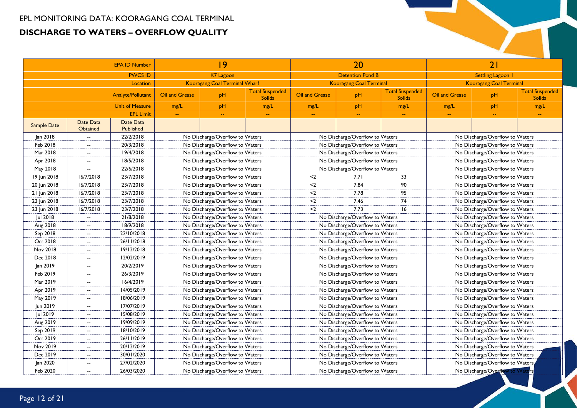| <b>EPA ID Number</b> |                          |                          |                                 | 9                               |                                         |                                 | 20                              |                                         |                                 | 21                                                                                                                                                                                                                                                                                                                                                                                                                                                                                                                                                                                                                                                       |  |  |
|----------------------|--------------------------|--------------------------|---------------------------------|---------------------------------|-----------------------------------------|---------------------------------|---------------------------------|-----------------------------------------|---------------------------------|----------------------------------------------------------------------------------------------------------------------------------------------------------------------------------------------------------------------------------------------------------------------------------------------------------------------------------------------------------------------------------------------------------------------------------------------------------------------------------------------------------------------------------------------------------------------------------------------------------------------------------------------------------|--|--|
|                      |                          | <b>PWCS ID</b>           |                                 | K7 Lagoon                       |                                         |                                 | <b>Detention Pond B</b>         |                                         |                                 | <b>Settling Lagoon 1</b>                                                                                                                                                                                                                                                                                                                                                                                                                                                                                                                                                                                                                                 |  |  |
|                      |                          | Location                 |                                 | Kooragang Coal Terminal Wharf   |                                         |                                 | <b>Kooragang Coal Terminal</b>  |                                         |                                 | <b>Kooragang Coal Terminal</b><br><b>Total Suspended</b><br>pH<br><b>Solids</b><br>pH<br>mg/L<br>$\sim$<br>$\mathbb{H}^{\mathbb{Z}}$<br>$\sim$<br>No Discharge/Overflow to Waters<br>No Discharge/Overflow to Waters<br>No Discharge/Overflow to Waters<br>No Discharge/Overflow to Waters<br>No Discharge/Overflow to Waters<br>No Discharge/Overflow to Waters<br>No Discharge/Overflow to Waters<br>No Discharge/Overflow to Waters<br>No Discharge/Overflow to Waters<br>No Discharge/Overflow to Waters<br>No Discharge/Overflow to Waters<br>No Discharge/Overflow to Waters<br>No Discharge/Overflow to Waters<br>No Discharge/Overflow to Waters |  |  |
|                      |                          | <b>Analyte/Pollutant</b> | Oil and Grease                  | pH                              | <b>Total Suspended</b><br><b>Solids</b> | Oil and Grease                  | pH                              | <b>Total Suspended</b><br><b>Solids</b> | Oil and Grease                  |                                                                                                                                                                                                                                                                                                                                                                                                                                                                                                                                                                                                                                                          |  |  |
|                      |                          | <b>Unit of Measure</b>   | mg/L                            | pH                              | mg/L                                    | mg/L                            | pH                              | mg/L                                    | mg/L                            |                                                                                                                                                                                                                                                                                                                                                                                                                                                                                                                                                                                                                                                          |  |  |
|                      |                          | <b>EPL Limit</b>         | $\mathbf{u}$                    | $\overline{\phantom{a}}$        | $\sim$                                  | $\rightarrow$                   | $\sim$                          | $\rightarrow$                           |                                 |                                                                                                                                                                                                                                                                                                                                                                                                                                                                                                                                                                                                                                                          |  |  |
| <b>Sample Date</b>   | Date Data<br>Obtained    | Date Data<br>Published   |                                 |                                 |                                         |                                 |                                 |                                         |                                 |                                                                                                                                                                                                                                                                                                                                                                                                                                                                                                                                                                                                                                                          |  |  |
| Jan 2018             | $\overline{\phantom{a}}$ | 22/2/2018                | No Discharge/Overflow to Waters |                                 |                                         | No Discharge/Overflow to Waters |                                 |                                         |                                 |                                                                                                                                                                                                                                                                                                                                                                                                                                                                                                                                                                                                                                                          |  |  |
| Feb 2018             | $\overline{\phantom{a}}$ | 20/3/2018                |                                 | No Discharge/Overflow to Waters |                                         |                                 | No Discharge/Overflow to Waters |                                         |                                 |                                                                                                                                                                                                                                                                                                                                                                                                                                                                                                                                                                                                                                                          |  |  |
| Mar 2018             | $\overline{\phantom{a}}$ | 19/4/2018                |                                 | No Discharge/Overflow to Waters |                                         |                                 | No Discharge/Overflow to Waters |                                         |                                 |                                                                                                                                                                                                                                                                                                                                                                                                                                                                                                                                                                                                                                                          |  |  |
| Apr 2018             | $\overline{\phantom{a}}$ | 18/5/2018                |                                 | No Discharge/Overflow to Waters |                                         |                                 | No Discharge/Overflow to Waters |                                         |                                 |                                                                                                                                                                                                                                                                                                                                                                                                                                                                                                                                                                                                                                                          |  |  |
| May 2018             | $\overline{\phantom{a}}$ | 22/6/2018                |                                 | No Discharge/Overflow to Waters |                                         |                                 | No Discharge/Overflow to Waters |                                         |                                 |                                                                                                                                                                                                                                                                                                                                                                                                                                                                                                                                                                                                                                                          |  |  |
| 19 Jun 2018          | 16/7/2018                | 23/7/2018                |                                 | No Discharge/Overflow to Waters |                                         | $2$                             | 7.71                            | 33                                      |                                 |                                                                                                                                                                                                                                                                                                                                                                                                                                                                                                                                                                                                                                                          |  |  |
| 20 Jun 2018          | 16/7/2018                | 23/7/2018                |                                 | No Discharge/Overflow to Waters |                                         | $2$                             | 7.84                            | 90                                      |                                 |                                                                                                                                                                                                                                                                                                                                                                                                                                                                                                                                                                                                                                                          |  |  |
| 21 Jun 2018          | 16/7/2018                | 23/7/2018                |                                 | No Discharge/Overflow to Waters |                                         | $2$                             | 7.78                            | 95                                      |                                 |                                                                                                                                                                                                                                                                                                                                                                                                                                                                                                                                                                                                                                                          |  |  |
| 22 Jun 2018          | 16/7/2018                | 23/7/2018                |                                 | No Discharge/Overflow to Waters |                                         | $2$                             | 7.46                            | 74                                      |                                 |                                                                                                                                                                                                                                                                                                                                                                                                                                                                                                                                                                                                                                                          |  |  |
| 23 Jun 2018          | 16/7/2018                | 23/7/2018                | No Discharge/Overflow to Waters |                                 | $2$                                     | 7.73                            | 16                              |                                         |                                 |                                                                                                                                                                                                                                                                                                                                                                                                                                                                                                                                                                                                                                                          |  |  |
| Jul 2018             | $\overline{\phantom{a}}$ | 21/8/2018                | No Discharge/Overflow to Waters |                                 |                                         | No Discharge/Overflow to Waters |                                 |                                         |                                 |                                                                                                                                                                                                                                                                                                                                                                                                                                                                                                                                                                                                                                                          |  |  |
| Aug 2018             | $\overline{\phantom{a}}$ | 18/9/2018                |                                 | No Discharge/Overflow to Waters |                                         |                                 | No Discharge/Overflow to Waters |                                         |                                 |                                                                                                                                                                                                                                                                                                                                                                                                                                                                                                                                                                                                                                                          |  |  |
| Sep 2018             | $-$                      | 22/10/2018               |                                 | No Discharge/Overflow to Waters |                                         |                                 | No Discharge/Overflow to Waters |                                         |                                 |                                                                                                                                                                                                                                                                                                                                                                                                                                                                                                                                                                                                                                                          |  |  |
| Oct 2018             | $\overline{\phantom{a}}$ | 26/11/2018               |                                 | No Discharge/Overflow to Waters |                                         |                                 | No Discharge/Overflow to Waters |                                         |                                 |                                                                                                                                                                                                                                                                                                                                                                                                                                                                                                                                                                                                                                                          |  |  |
| Nov 2018             | $-$                      | 19/12/2018               |                                 | No Discharge/Overflow to Waters |                                         |                                 | No Discharge/Overflow to Waters |                                         |                                 | No Discharge/Overflow to Waters                                                                                                                                                                                                                                                                                                                                                                                                                                                                                                                                                                                                                          |  |  |
| Dec 2018             | $\overline{\phantom{a}}$ | 12/02/2019               |                                 | No Discharge/Overflow to Waters |                                         | No Discharge/Overflow to Waters |                                 |                                         | No Discharge/Overflow to Waters |                                                                                                                                                                                                                                                                                                                                                                                                                                                                                                                                                                                                                                                          |  |  |
| Jan 2019             | $\overline{\phantom{a}}$ | 20/2/2019                |                                 | No Discharge/Overflow to Waters |                                         |                                 | No Discharge/Overflow to Waters |                                         |                                 | No Discharge/Overflow to Waters                                                                                                                                                                                                                                                                                                                                                                                                                                                                                                                                                                                                                          |  |  |
| Feb 2019             | $\overline{\phantom{a}}$ | 26/3/2019                |                                 | No Discharge/Overflow to Waters |                                         |                                 | No Discharge/Overflow to Waters |                                         |                                 | No Discharge/Overflow to Waters                                                                                                                                                                                                                                                                                                                                                                                                                                                                                                                                                                                                                          |  |  |
| Mar 2019             | $\overline{\phantom{a}}$ | 16/4/2019                |                                 | No Discharge/Overflow to Waters |                                         |                                 | No Discharge/Overflow to Waters |                                         |                                 | No Discharge/Overflow to Waters                                                                                                                                                                                                                                                                                                                                                                                                                                                                                                                                                                                                                          |  |  |
| Apr 2019             | $\overline{\phantom{a}}$ | 14/05/2019               |                                 | No Discharge/Overflow to Waters |                                         |                                 | No Discharge/Overflow to Waters |                                         |                                 | No Discharge/Overflow to Waters                                                                                                                                                                                                                                                                                                                                                                                                                                                                                                                                                                                                                          |  |  |
| May 2019             | $\overline{\phantom{a}}$ | 18/06/2019               |                                 | No Discharge/Overflow to Waters |                                         |                                 | No Discharge/Overflow to Waters |                                         |                                 | No Discharge/Overflow to Waters                                                                                                                                                                                                                                                                                                                                                                                                                                                                                                                                                                                                                          |  |  |
| Jun 2019             | $\overline{\phantom{a}}$ | 17/07/2019               |                                 | No Discharge/Overflow to Waters |                                         |                                 | No Discharge/Overflow to Waters |                                         |                                 | No Discharge/Overflow to Waters                                                                                                                                                                                                                                                                                                                                                                                                                                                                                                                                                                                                                          |  |  |
| Jul 2019             | $\overline{\phantom{a}}$ | 15/08/2019               |                                 | No Discharge/Overflow to Waters |                                         |                                 | No Discharge/Overflow to Waters |                                         |                                 | No Discharge/Overflow to Waters                                                                                                                                                                                                                                                                                                                                                                                                                                                                                                                                                                                                                          |  |  |
| Aug 2019             | $\overline{\phantom{a}}$ | 19/09/2019               |                                 | No Discharge/Overflow to Waters |                                         |                                 | No Discharge/Overflow to Waters |                                         |                                 | No Discharge/Overflow to Waters                                                                                                                                                                                                                                                                                                                                                                                                                                                                                                                                                                                                                          |  |  |
| Sep 2019             | $-$                      | 18/10/2019               |                                 | No Discharge/Overflow to Waters |                                         |                                 | No Discharge/Overflow to Waters |                                         |                                 | No Discharge/Overflow to Waters                                                                                                                                                                                                                                                                                                                                                                                                                                                                                                                                                                                                                          |  |  |
| Oct 2019             | $\overline{\phantom{a}}$ | 26/11/2019               |                                 | No Discharge/Overflow to Waters |                                         |                                 | No Discharge/Overflow to Waters |                                         |                                 | No Discharge/Overflow to Waters                                                                                                                                                                                                                                                                                                                                                                                                                                                                                                                                                                                                                          |  |  |
| Nov 2019             | $\overline{\phantom{a}}$ | 20/12/2019               |                                 | No Discharge/Overflow to Waters |                                         |                                 | No Discharge/Overflow to Waters |                                         |                                 | No Discharge/Overflow to Waters                                                                                                                                                                                                                                                                                                                                                                                                                                                                                                                                                                                                                          |  |  |
| Dec 2019             | $\overline{\phantom{a}}$ | 30/01/2020               |                                 | No Discharge/Overflow to Waters |                                         | No Discharge/Overflow to Waters |                                 |                                         | No Discharge/Overflow to Waters |                                                                                                                                                                                                                                                                                                                                                                                                                                                                                                                                                                                                                                                          |  |  |
| Jan 2020             | $\overline{\phantom{a}}$ | 27/02/2020               |                                 | No Discharge/Overflow to Waters |                                         | No Discharge/Overflow to Waters |                                 |                                         | No Discharge/Overflow to Waters |                                                                                                                                                                                                                                                                                                                                                                                                                                                                                                                                                                                                                                                          |  |  |
| Feb 2020             | $\overline{\phantom{a}}$ | 26/03/2020               |                                 | No Discharge/Overflow to Waters |                                         |                                 | No Discharge/Overflow to Waters |                                         |                                 | No Discharge/Overflow to Wat                                                                                                                                                                                                                                                                                                                                                                                                                                                                                                                                                                                                                             |  |  |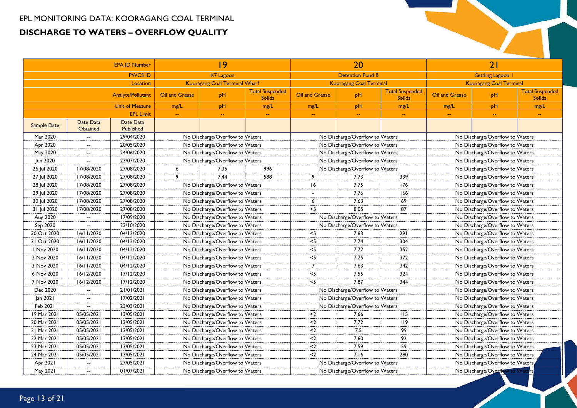| <b>EPA ID Number</b> |                          |                          |                                 | 9                               |                                         |                | 20                              |                                         |                                 | 21                              |                                         |
|----------------------|--------------------------|--------------------------|---------------------------------|---------------------------------|-----------------------------------------|----------------|---------------------------------|-----------------------------------------|---------------------------------|---------------------------------|-----------------------------------------|
|                      |                          | <b>PWCS ID</b>           |                                 | K7 Lagoon                       |                                         |                | <b>Detention Pond B</b>         |                                         |                                 | <b>Settling Lagoon 1</b>        |                                         |
|                      |                          | Location                 |                                 | Kooragang Coal Terminal Wharf   |                                         |                | <b>Kooragang Coal Terminal</b>  |                                         |                                 | <b>Kooragang Coal Terminal</b>  |                                         |
|                      |                          | <b>Analyte/Pollutant</b> | Oil and Grease                  | pH                              | <b>Total Suspended</b><br><b>Solids</b> | Oil and Grease | pH                              | <b>Total Suspended</b><br><b>Solids</b> | Oil and Grease                  | pH                              | <b>Total Suspended</b><br><b>Solids</b> |
|                      |                          | <b>Unit of Measure</b>   | mg/L                            | pH                              | mg/L                                    | mg/L           | pH                              | mg/L                                    | mg/L                            | pH                              | mg/L                                    |
|                      |                          | <b>EPL Limit</b>         | $\mathbb{L} \mathbb{L}$         |                                 |                                         | $\sim$         |                                 | $\sim$                                  |                                 |                                 | $\mathbb{Z}^2$                          |
| Sample Date          | Date Data<br>Obtained    | Date Data<br>Published   |                                 |                                 |                                         |                |                                 |                                         |                                 |                                 |                                         |
| Mar 2020             | $\overline{\phantom{a}}$ | 29/04/2020               |                                 | No Discharge/Overflow to Waters |                                         |                | No Discharge/Overflow to Waters |                                         |                                 | No Discharge/Overflow to Waters |                                         |
| Apr 2020             | $\overline{\phantom{a}}$ | 20/05/2020               |                                 | No Discharge/Overflow to Waters |                                         |                | No Discharge/Overflow to Waters |                                         |                                 | No Discharge/Overflow to Waters |                                         |
| May 2020             | $\overline{\phantom{a}}$ | 24/06/2020               |                                 | No Discharge/Overflow to Waters |                                         |                | No Discharge/Overflow to Waters |                                         |                                 | No Discharge/Overflow to Waters |                                         |
| Jun 2020             | $\overline{\phantom{a}}$ | 23/07/2020               |                                 | No Discharge/Overflow to Waters |                                         |                | No Discharge/Overflow to Waters |                                         |                                 | No Discharge/Overflow to Waters |                                         |
| 26 Jul 2020          | 17/08/2020               | 27/08/2020               | 6                               | 7.35                            | 996                                     |                | No Discharge/Overflow to Waters |                                         |                                 | No Discharge/Overflow to Waters |                                         |
| 27 Jul 2020          | 17/08/2020               | 27/08/2020               | 9                               | 7.44                            | 588                                     | 9              | 7.73                            | 339                                     |                                 | No Discharge/Overflow to Waters |                                         |
| 28 Jul 2020          | 17/08/2020               | 27/08/2020               |                                 | No Discharge/Overflow to Waters |                                         | 16             | 7.75                            | 176                                     |                                 | No Discharge/Overflow to Waters |                                         |
| 29 Jul 2020          | 17/08/2020               | 27/08/2020               |                                 | No Discharge/Overflow to Waters |                                         |                | 7.76                            | 166                                     | No Discharge/Overflow to Waters |                                 |                                         |
| 30 Jul 2020          | 17/08/2020               | 27/08/2020               |                                 | No Discharge/Overflow to Waters |                                         | 6              | 7.63                            | 69                                      |                                 | No Discharge/Overflow to Waters |                                         |
| 31 Jul 2020          | 17/08/2020               | 27/08/2020               | No Discharge/Overflow to Waters |                                 |                                         | $<$ 5          | 8.05                            | 87                                      |                                 | No Discharge/Overflow to Waters |                                         |
| Aug 2020             | $\overline{\phantom{a}}$ | 17/09/2020               | No Discharge/Overflow to Waters |                                 |                                         |                | No Discharge/Overflow to Waters |                                         |                                 | No Discharge/Overflow to Waters |                                         |
| Sep 2020             | $\overline{\phantom{a}}$ | 23/10/2020               |                                 | No Discharge/Overflow to Waters |                                         |                | No Discharge/Overflow to Waters |                                         |                                 | No Discharge/Overflow to Waters |                                         |
| 30 Oct 2020          | 16/11/2020               | 04/12/2020               |                                 | No Discharge/Overflow to Waters |                                         | $<$ 5          | 7.83                            | 291                                     |                                 | No Discharge/Overflow to Waters |                                         |
| 31 Oct 2020          | 16/11/2020               | 04/12/2020               |                                 | No Discharge/Overflow to Waters |                                         | $<$ 5          | 7.74                            | 304                                     | No Discharge/Overflow to Waters |                                 |                                         |
| I Nov 2020           | 16/11/2020               | 04/12/2020               |                                 | No Discharge/Overflow to Waters |                                         | $<$ 5          | 7.72                            | 352                                     | No Discharge/Overflow to Waters |                                 |                                         |
| 2 Nov 2020           | 16/11/2020               | 04/12/2020               |                                 | No Discharge/Overflow to Waters |                                         | $<$ 5          | 7.75                            | 372                                     |                                 | No Discharge/Overflow to Waters |                                         |
| 3 Nov 2020           | 16/11/2020               | 04/12/2020               |                                 | No Discharge/Overflow to Waters |                                         | $\overline{7}$ | 7.63                            | 342                                     | No Discharge/Overflow to Waters |                                 |                                         |
| 6 Nov 2020           | 16/12/2020               | 17/12/2020               |                                 | No Discharge/Overflow to Waters |                                         | $<$ 5          | 7.55                            | 324                                     |                                 | No Discharge/Overflow to Waters |                                         |
| 7 Nov 2020           | 16/12/2020               | 17/12/2020               |                                 | No Discharge/Overflow to Waters |                                         | $<$ 5          | 7.87                            | 344                                     |                                 | No Discharge/Overflow to Waters |                                         |
| Dec 2020             | $\overline{\phantom{a}}$ | 21/01/2021               |                                 | No Discharge/Overflow to Waters |                                         |                | No Discharge/Overflow to Waters |                                         |                                 | No Discharge/Overflow to Waters |                                         |
| Jan 2021             | $\overline{\phantom{a}}$ | 17/02/2021               |                                 | No Discharge/Overflow to Waters |                                         |                | No Discharge/Overflow to Waters |                                         |                                 | No Discharge/Overflow to Waters |                                         |
| Feb 2021             | $\overline{a}$           | 23/03/2021               |                                 | No Discharge/Overflow to Waters |                                         |                | No Discharge/Overflow to Waters |                                         |                                 | No Discharge/Overflow to Waters |                                         |
| 19 Mar 2021          | 05/05/2021               | 13/05/2021               |                                 | No Discharge/Overflow to Waters |                                         | $2$            | 7.66                            | 115                                     |                                 | No Discharge/Overflow to Waters |                                         |
| 20 Mar 2021          | 05/05/2021               | 13/05/2021               |                                 | No Discharge/Overflow to Waters |                                         | $2$            | 7.72                            | 119                                     |                                 | No Discharge/Overflow to Waters |                                         |
| 21 Mar 2021          | 05/05/2021               | 13/05/2021               |                                 | No Discharge/Overflow to Waters |                                         | $2$            | 7.5                             | 99                                      |                                 | No Discharge/Overflow to Waters |                                         |
| 22 Mar 2021          | 05/05/2021               | 13/05/2021               | No Discharge/Overflow to Waters |                                 | $2$                                     | 7.60           | 92                              |                                         | No Discharge/Overflow to Waters |                                 |                                         |
| 23 Mar 2021          | 05/05/2021               | 13/05/2021               |                                 | No Discharge/Overflow to Waters |                                         | $2$            | 7.59                            | 59                                      | No Discharge/Overflow to Waters |                                 |                                         |
| 24 Mar 2021          | 05/05/2021               | 13/05/2021               |                                 | No Discharge/Overflow to Waters |                                         | $2$            | 7.16                            | 280                                     | No Discharge/Overflow to Waters |                                 |                                         |
| Apr 2021             | $\overline{\phantom{a}}$ | 27/05/2021               |                                 | No Discharge/Overflow to Waters |                                         |                | No Discharge/Overflow to Waters |                                         | No Discharge/Overflow to Waters |                                 |                                         |
| May 2021             | $\overline{\phantom{a}}$ | 01/07/2021               |                                 | No Discharge/Overflow to Waters |                                         |                | No Discharge/Overflow to Waters |                                         | No Discharge/Overflow to Wate   |                                 |                                         |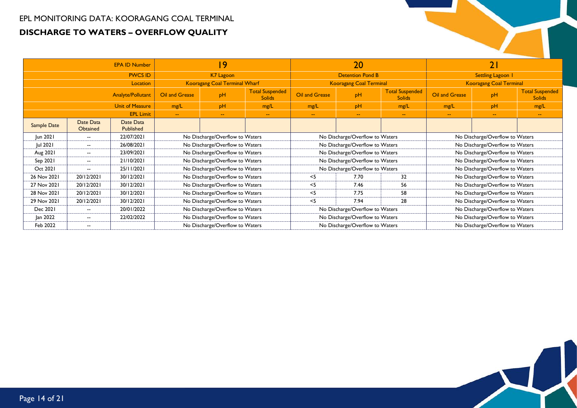|                        |                              | <b>EPA ID Number</b>                          |                                 | 19                                   |                                         |                                 | 20                              |                                         |                                 | 21                              |                                         |
|------------------------|------------------------------|-----------------------------------------------|---------------------------------|--------------------------------------|-----------------------------------------|---------------------------------|---------------------------------|-----------------------------------------|---------------------------------|---------------------------------|-----------------------------------------|
|                        |                              | <b>PWCS ID</b>                                |                                 | K7 Lagoon                            |                                         |                                 | <b>Detention Pond B</b>         |                                         |                                 | Settling Lagoon 1               |                                         |
|                        |                              | <b>Location</b>                               |                                 | <b>Kooragang Coal Terminal Wharf</b> |                                         |                                 | <b>Kooragang Coal Terminal</b>  |                                         |                                 | <b>Kooragang Coal Terminal</b>  |                                         |
| Analyte/Pollutant      |                              |                                               | Oil and Grease                  | pH                                   | <b>Total Suspended</b><br><b>Solids</b> | Oil and Grease                  | pH                              | <b>Total Suspended</b><br><b>Solids</b> | Oil and Grease                  | pH                              | <b>Total Suspended</b><br><b>Solids</b> |
| <b>Unit of Measure</b> |                              |                                               | mg/L                            | pH                                   | mg/L                                    | mg/L                            | pH                              | mg/L                                    | mg/L                            | pH                              | mg/L                                    |
| <b>EPL Limit</b>       |                              |                                               | $\sim$ $\sim$                   | $\overline{\phantom{a}}$             | $\sim$ $\sim$                           | $\sim$                          | $\sim$                          | $\sim$                                  | $\sim$                          | $\sim$ $\sim$                   | $\sim$                                  |
| <b>Sample Date</b>     | Date Data<br><b>Obtained</b> | Date Data<br><b>Published</b>                 |                                 |                                      |                                         |                                 |                                 |                                         |                                 |                                 |                                         |
| Jun 2021               | $\overline{\phantom{a}}$     | 22/07/2021                                    |                                 | No Discharge/Overflow to Waters      |                                         |                                 | No Discharge/Overflow to Waters |                                         |                                 | No Discharge/Overflow to Waters |                                         |
| Jul 2021               | $- -$                        | 26/08/2021                                    |                                 | No Discharge/Overflow to Waters      |                                         |                                 | No Discharge/Overflow to Waters |                                         |                                 | No Discharge/Overflow to Waters |                                         |
| Aug 2021               | $\overline{\phantom{a}}$     | 23/09/2021                                    |                                 | No Discharge/Overflow to Waters      |                                         |                                 | No Discharge/Overflow to Waters |                                         |                                 | No Discharge/Overflow to Waters |                                         |
| Sep 2021               | $\sim$                       | 21/10/2021                                    |                                 | No Discharge/Overflow to Waters      |                                         |                                 | No Discharge/Overflow to Waters |                                         |                                 | No Discharge/Overflow to Waters |                                         |
| Oct 2021               | $- -$                        | 25/11/2021                                    |                                 | No Discharge/Overflow to Waters      |                                         |                                 | No Discharge/Overflow to Waters |                                         | No Discharge/Overflow to Waters |                                 |                                         |
| 26 Nov 2021            | 20/12/2021                   | 30/12/2021                                    |                                 | No Discharge/Overflow to Waters      |                                         | ≺5                              | 7.70                            | 32                                      |                                 | No Discharge/Overflow to Waters |                                         |
| 27 Nov 2021            | 20/12/2021                   | 30/12/2021                                    |                                 | No Discharge/Overflow to Waters      |                                         | $<$ 5                           | 7.46                            | 56                                      |                                 | No Discharge/Overflow to Waters |                                         |
| 28 Nov 2021            | 20/12/2021                   | 30/12/2021                                    |                                 | No Discharge/Overflow to Waters      |                                         | $<$ 5                           | 7.75                            | 58                                      |                                 | No Discharge/Overflow to Waters |                                         |
| 29 Nov 2021            | 20/12/2021                   | 30/12/2021                                    | No Discharge/Overflow to Waters |                                      | $<$ 5                                   | 7.94                            | 28                              |                                         | No Discharge/Overflow to Waters |                                 |                                         |
| Dec 2021               | $\sim$                       | No Discharge/Overflow to Waters<br>20/01/2022 |                                 | No Discharge/Overflow to Waters      |                                         |                                 | No Discharge/Overflow to Waters |                                         |                                 |                                 |                                         |
| Jan 2022               | $- -$                        | 22/02/2022                                    | No Discharge/Overflow to Waters |                                      |                                         | No Discharge/Overflow to Waters |                                 |                                         | No Discharge/Overflow to Waters |                                 |                                         |
| Feb 2022               | $\overline{\phantom{a}}$     |                                               |                                 | No Discharge/Overflow to Waters      |                                         |                                 | No Discharge/Overflow to Waters |                                         |                                 | No Discharge/Overflow to Waters |                                         |

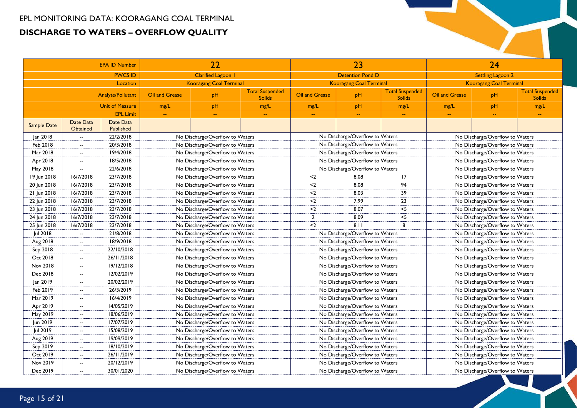| <b>EPA ID Number</b> |                              |                          |                                 | 22                              |                                         |                                 | 23                              |                                         |                                 | 24                              |                                         |  |
|----------------------|------------------------------|--------------------------|---------------------------------|---------------------------------|-----------------------------------------|---------------------------------|---------------------------------|-----------------------------------------|---------------------------------|---------------------------------|-----------------------------------------|--|
|                      |                              | <b>PWCS ID</b>           |                                 | Clarified Lagoon 1              |                                         |                                 | <b>Detention Pond D</b>         |                                         |                                 | Settling Lagoon 2               |                                         |  |
|                      |                              | Location                 |                                 | <b>Kooragang Coal Terminal</b>  |                                         |                                 | <b>Kooragang Coal Terminal</b>  |                                         |                                 | <b>Kooragang Coal Terminal</b>  |                                         |  |
|                      |                              | <b>Analyte/Pollutant</b> | Oil and Grease                  | pH                              | <b>Total Suspended</b><br><b>Solids</b> | Oil and Grease                  | pH                              | <b>Total Suspended</b><br><b>Solids</b> | Oil and Grease                  | pH                              | <b>Total Suspended</b><br><b>Solids</b> |  |
|                      |                              | <b>Unit of Measure</b>   | mg/L                            | pH                              | mg/L                                    | mg/L                            | pH                              | mg/L                                    | mg/L                            | pH                              | mg/L                                    |  |
|                      |                              | <b>EPL Limit</b>         | $\sim$                          | $\rightarrow$                   | $\rightarrow$                           | $\rightarrow$                   | $\sim$                          | $\rightarrow$                           | ÷.                              | $\overline{\phantom{m}}$        | $\rightarrow$                           |  |
| <b>Sample Date</b>   | Date Data<br><b>Obtained</b> | Date Data<br>Published   |                                 |                                 |                                         |                                 |                                 |                                         |                                 |                                 |                                         |  |
| Jan 2018             | $\overline{\phantom{a}}$     | 22/2/2018                |                                 | No Discharge/Overflow to Waters |                                         |                                 | No Discharge/Overflow to Waters |                                         |                                 | No Discharge/Overflow to Waters |                                         |  |
| Feb 2018             | $\overline{\phantom{a}}$     | 20/3/2018                |                                 | No Discharge/Overflow to Waters |                                         |                                 | No Discharge/Overflow to Waters |                                         |                                 | No Discharge/Overflow to Waters |                                         |  |
| Mar 2018             | $\overline{\phantom{a}}$     | 19/4/2018                |                                 | No Discharge/Overflow to Waters |                                         |                                 | No Discharge/Overflow to Waters |                                         |                                 | No Discharge/Overflow to Waters |                                         |  |
| Apr 2018             | $\overline{\phantom{a}}$     | 18/5/2018                |                                 | No Discharge/Overflow to Waters |                                         |                                 | No Discharge/Overflow to Waters |                                         |                                 | No Discharge/Overflow to Waters |                                         |  |
| May 2018             | $\overline{\phantom{a}}$     | 22/6/2018                |                                 | No Discharge/Overflow to Waters |                                         |                                 | No Discharge/Overflow to Waters |                                         |                                 | No Discharge/Overflow to Waters |                                         |  |
| 19 Jun 2018          | 16/7/2018                    | 23/7/2018                |                                 | No Discharge/Overflow to Waters |                                         | $2$                             | 8.08                            | 17                                      |                                 | No Discharge/Overflow to Waters |                                         |  |
| 20 Jun 2018          | 16/7/2018                    | 23/7/2018                |                                 | No Discharge/Overflow to Waters |                                         | $2$                             | 8.08                            | 94                                      |                                 | No Discharge/Overflow to Waters |                                         |  |
| 21 Jun 2018          | 16/7/2018                    | 23/7/2018                |                                 | No Discharge/Overflow to Waters |                                         | $2$                             | 8.03                            | 39                                      | No Discharge/Overflow to Waters |                                 |                                         |  |
| 22 Jun 2018          | 16/7/2018                    | 23/7/2018                |                                 | No Discharge/Overflow to Waters |                                         | $2$                             | 7.99                            | 23                                      |                                 | No Discharge/Overflow to Waters |                                         |  |
| 23 Jun 2018          | 16/7/2018                    | 23/7/2018                | No Discharge/Overflow to Waters |                                 |                                         | $2$                             | 8.07                            | $<$ 5                                   |                                 | No Discharge/Overflow to Waters |                                         |  |
| 24 Jun 2018          | 16/7/2018                    | 23/7/2018                | No Discharge/Overflow to Waters |                                 | $\overline{2}$                          | 8.09                            | $<$ 5                           |                                         | No Discharge/Overflow to Waters |                                 |                                         |  |
| 25 Jun 2018          | 16/7/2018                    | 23/7/2018                |                                 | No Discharge/Overflow to Waters |                                         | $2$                             | 8.11                            | 8                                       |                                 | No Discharge/Overflow to Waters |                                         |  |
| Jul 2018             | $\overline{\phantom{a}}$     | 21/8/2018                |                                 | No Discharge/Overflow to Waters |                                         |                                 | No Discharge/Overflow to Waters |                                         |                                 | No Discharge/Overflow to Waters |                                         |  |
| Aug 2018             | $\overline{\phantom{a}}$     | 18/9/2018                |                                 | No Discharge/Overflow to Waters |                                         |                                 | No Discharge/Overflow to Waters |                                         |                                 | No Discharge/Overflow to Waters |                                         |  |
| Sep 2018             | $\overline{\phantom{a}}$     | 22/10/2018               |                                 | No Discharge/Overflow to Waters |                                         |                                 | No Discharge/Overflow to Waters |                                         |                                 | No Discharge/Overflow to Waters |                                         |  |
| Oct 2018             | $\sim$                       | 26/11/2018               |                                 | No Discharge/Overflow to Waters |                                         |                                 | No Discharge/Overflow to Waters |                                         |                                 | No Discharge/Overflow to Waters |                                         |  |
| Nov 2018             | $\overline{\phantom{a}}$     | 19/12/2018               |                                 | No Discharge/Overflow to Waters |                                         |                                 | No Discharge/Overflow to Waters |                                         |                                 | No Discharge/Overflow to Waters |                                         |  |
| Dec 2018             | $\overline{\phantom{a}}$     | 12/02/2019               |                                 | No Discharge/Overflow to Waters |                                         |                                 | No Discharge/Overflow to Waters |                                         |                                 | No Discharge/Overflow to Waters |                                         |  |
| Jan 2019             | $\overline{\phantom{a}}$     | 20/02/2019               |                                 | No Discharge/Overflow to Waters |                                         |                                 | No Discharge/Overflow to Waters |                                         |                                 | No Discharge/Overflow to Waters |                                         |  |
| Feb 2019             | $\sim$                       | 26/3/2019                |                                 | No Discharge/Overflow to Waters |                                         |                                 | No Discharge/Overflow to Waters |                                         |                                 | No Discharge/Overflow to Waters |                                         |  |
| Mar 2019             | $\overline{\phantom{a}}$     | 16/4/2019                |                                 | No Discharge/Overflow to Waters |                                         |                                 | No Discharge/Overflow to Waters |                                         |                                 | No Discharge/Overflow to Waters |                                         |  |
| Apr 2019             | $\overline{\phantom{a}}$     | 14/05/2019               |                                 | No Discharge/Overflow to Waters |                                         |                                 | No Discharge/Overflow to Waters |                                         |                                 | No Discharge/Overflow to Waters |                                         |  |
| May 2019             | $\overline{a}$               | 18/06/2019               |                                 | No Discharge/Overflow to Waters |                                         |                                 | No Discharge/Overflow to Waters |                                         |                                 | No Discharge/Overflow to Waters |                                         |  |
| Jun 2019             | $\overline{\phantom{a}}$     | 17/07/2019               |                                 | No Discharge/Overflow to Waters |                                         |                                 | No Discharge/Overflow to Waters |                                         |                                 | No Discharge/Overflow to Waters |                                         |  |
| Jul 2019             | $-$                          | 15/08/2019               |                                 | No Discharge/Overflow to Waters |                                         |                                 | No Discharge/Overflow to Waters |                                         |                                 | No Discharge/Overflow to Waters |                                         |  |
| Aug 2019             | $\overline{\phantom{a}}$     | 19/09/2019               |                                 | No Discharge/Overflow to Waters |                                         |                                 | No Discharge/Overflow to Waters |                                         |                                 | No Discharge/Overflow to Waters |                                         |  |
| Sep 2019             | $\overline{\phantom{a}}$     | 18/10/2019               | No Discharge/Overflow to Waters |                                 |                                         | No Discharge/Overflow to Waters |                                 |                                         | No Discharge/Overflow to Waters |                                 |                                         |  |
| Oct 2019             | $\overline{a}$               | 26/11/2019               | No Discharge/Overflow to Waters |                                 |                                         | No Discharge/Overflow to Waters |                                 |                                         | No Discharge/Overflow to Waters |                                 |                                         |  |
| Nov 2019             | $\overline{\phantom{a}}$     | 20/12/2019               |                                 | No Discharge/Overflow to Waters |                                         | No Discharge/Overflow to Waters |                                 |                                         | No Discharge/Overflow to Waters |                                 |                                         |  |
| Dec 2019             | $\sim$                       | 30/01/2020               |                                 | No Discharge/Overflow to Waters |                                         |                                 | No Discharge/Overflow to Waters |                                         |                                 | No Discharge/Overflow to Waters |                                         |  |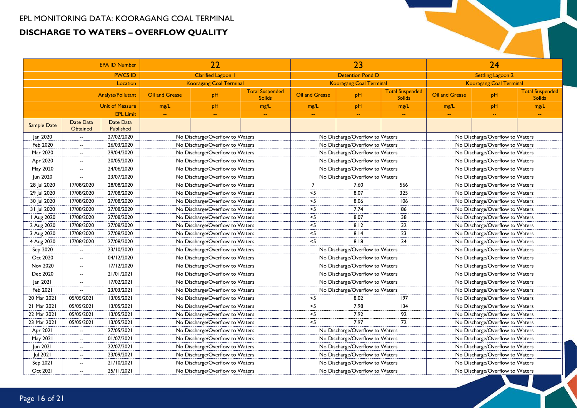| <b>EPA ID Number</b> |                              |                               |                                 | 22                              |                                               |                                 | 23                              |                                         |                                 | 24                              |                                         |
|----------------------|------------------------------|-------------------------------|---------------------------------|---------------------------------|-----------------------------------------------|---------------------------------|---------------------------------|-----------------------------------------|---------------------------------|---------------------------------|-----------------------------------------|
|                      |                              | <b>PWCS ID</b>                |                                 | Clarified Lagoon 1              |                                               |                                 | <b>Detention Pond D</b>         |                                         |                                 | <b>Settling Lagoon 2</b>        |                                         |
|                      |                              | Location                      |                                 | <b>Kooragang Coal Terminal</b>  |                                               |                                 | <b>Kooragang Coal Terminal</b>  |                                         |                                 | <b>Kooragang Coal Terminal</b>  |                                         |
|                      |                              | Analyte/Pollutant             | Oil and Grease                  | pH                              | <b>Total Suspended</b><br><b>Solids</b>       | Oil and Grease                  | pH                              | <b>Total Suspended</b><br><b>Solids</b> | Oil and Grease                  | pH                              | <b>Total Suspended</b><br><b>Solids</b> |
|                      |                              | <b>Unit of Measure</b>        | mg/L                            | pH                              | mg/L                                          | mg/L                            | pH                              | mg/L                                    | mg/L                            | pH                              | mg/L                                    |
|                      |                              | <b>EPL Limit</b>              | $\sim$                          | $\mathbb{H}^{\mathbb{H}}$       | $\mathord{\hspace{1pt}\text{--}\hspace{1pt}}$ | $\mathbb{H}^{\mathbb{H}}$       | $\sim$                          | $\overline{\phantom{a}}$                | $\sim$                          | $\rightarrow$                   | $\mathbb{Z}^{\mathbb{Z}}$               |
| Sample Date          | Date Data<br><b>Obtained</b> | Date Data<br><b>Published</b> |                                 |                                 |                                               |                                 |                                 |                                         |                                 |                                 |                                         |
| lan 2020             | $\mathbf{L}$                 | 27/02/2020                    |                                 | No Discharge/Overflow to Waters |                                               |                                 | No Discharge/Overflow to Waters |                                         |                                 | No Discharge/Overflow to Waters |                                         |
| Feb 2020             | $\overline{a}$               | 26/03/2020                    |                                 | No Discharge/Overflow to Waters |                                               |                                 | No Discharge/Overflow to Waters |                                         |                                 | No Discharge/Overflow to Waters |                                         |
| Mar 2020             | $\overline{\phantom{a}}$     | 29/04/2020                    |                                 | No Discharge/Overflow to Waters |                                               |                                 | No Discharge/Overflow to Waters |                                         |                                 | No Discharge/Overflow to Waters |                                         |
| Apr 2020             | $\overline{\phantom{a}}$     | 20/05/2020                    |                                 | No Discharge/Overflow to Waters |                                               |                                 | No Discharge/Overflow to Waters |                                         |                                 | No Discharge/Overflow to Waters |                                         |
| May 2020             | $\overline{\phantom{a}}$     | 24/06/2020                    |                                 | No Discharge/Overflow to Waters |                                               |                                 | No Discharge/Overflow to Waters |                                         |                                 | No Discharge/Overflow to Waters |                                         |
| Jun 2020             | $\mathbf{L}$                 | 23/07/2020                    |                                 | No Discharge/Overflow to Waters |                                               |                                 | No Discharge/Overflow to Waters |                                         |                                 | No Discharge/Overflow to Waters |                                         |
| 28 Jul 2020          | 17/08/2020                   | 28/08/2020                    |                                 | No Discharge/Overflow to Waters |                                               | $\overline{7}$                  | 7.60                            | 566                                     |                                 | No Discharge/Overflow to Waters |                                         |
| 29 Jul 2020          | 17/08/2020                   | 27/08/2020                    |                                 | No Discharge/Overflow to Waters |                                               | $<$ 5                           | 8.07                            | 325                                     | No Discharge/Overflow to Waters |                                 |                                         |
| 30 Jul 2020          | 17/08/2020                   | 27/08/2020                    | No Discharge/Overflow to Waters |                                 |                                               | $<$ 5                           | 8.06                            | 106                                     |                                 | No Discharge/Overflow to Waters |                                         |
| 31 Jul 2020          | 17/08/2020                   | 27/08/2020                    | No Discharge/Overflow to Waters |                                 |                                               | $<$ 5                           | 7.74                            | 86                                      |                                 | No Discharge/Overflow to Waters |                                         |
| Aug 2020             | 17/08/2020                   | 27/08/2020                    | No Discharge/Overflow to Waters |                                 | $<$ 5                                         | 8.07                            | 38                              |                                         | No Discharge/Overflow to Waters |                                 |                                         |
| 2 Aug 2020           | 17/08/2020                   | 27/08/2020                    |                                 | No Discharge/Overflow to Waters |                                               | $<$ 5                           | 8.12                            | 32                                      |                                 | No Discharge/Overflow to Waters |                                         |
| 3 Aug 2020           | 17/08/2020                   | 27/08/2020                    |                                 | No Discharge/Overflow to Waters |                                               | $<$ 5                           | 8.14                            | 23                                      |                                 | No Discharge/Overflow to Waters |                                         |
| 4 Aug 2020           | 17/08/2020                   | 27/08/2020                    |                                 | No Discharge/Overflow to Waters |                                               | $<$ 5                           | 8.18                            | 34                                      |                                 | No Discharge/Overflow to Waters |                                         |
| Sep 2020             | $\mathbf{u}$                 | 23/10/2020                    |                                 | No Discharge/Overflow to Waters |                                               |                                 | No Discharge/Overflow to Waters |                                         |                                 | No Discharge/Overflow to Waters |                                         |
| Oct 2020             | $\mathbf{u}$                 | 04/12/2020                    |                                 | No Discharge/Overflow to Waters |                                               |                                 | No Discharge/Overflow to Waters |                                         |                                 | No Discharge/Overflow to Waters |                                         |
| Nov 2020             | $\overline{\phantom{a}}$     | 17/12/2020                    |                                 | No Discharge/Overflow to Waters |                                               |                                 | No Discharge/Overflow to Waters |                                         |                                 | No Discharge/Overflow to Waters |                                         |
| Dec 2020             | $\overline{\phantom{a}}$     | 21/01/2021                    |                                 | No Discharge/Overflow to Waters |                                               |                                 | No Discharge/Overflow to Waters |                                         |                                 | No Discharge/Overflow to Waters |                                         |
| Jan 2021             | $\overline{\phantom{a}}$     | 17/02/2021                    |                                 | No Discharge/Overflow to Waters |                                               |                                 | No Discharge/Overflow to Waters |                                         |                                 | No Discharge/Overflow to Waters |                                         |
| Feb 2021             | $\overline{\phantom{a}}$     | 23/03/2021                    |                                 | No Discharge/Overflow to Waters |                                               |                                 | No Discharge/Overflow to Waters |                                         |                                 | No Discharge/Overflow to Waters |                                         |
| 20 Mar 2021          | 05/05/2021                   | 13/05/2021                    |                                 | No Discharge/Overflow to Waters |                                               | $<$ 5                           | 8.02                            | 197                                     |                                 | No Discharge/Overflow to Waters |                                         |
| 21 Mar 2021          | 05/05/2021                   | 13/05/2021                    |                                 | No Discharge/Overflow to Waters |                                               | $<$ 5                           | 7.98                            | 134                                     |                                 | No Discharge/Overflow to Waters |                                         |
| 22 Mar 2021          | 05/05/2021                   | 13/05/2021                    |                                 | No Discharge/Overflow to Waters |                                               | $<$ 5                           | 7.92                            | 92                                      |                                 | No Discharge/Overflow to Waters |                                         |
| 23 Mar 2021          | 05/05/2021                   | 13/05/2021                    |                                 | No Discharge/Overflow to Waters |                                               | $<$ 5                           | 7.97                            | 72                                      |                                 | No Discharge/Overflow to Waters |                                         |
| Apr 2021             | $\overline{\phantom{a}}$     | 27/05/2021                    |                                 | No Discharge/Overflow to Waters |                                               |                                 | No Discharge/Overflow to Waters |                                         |                                 | No Discharge/Overflow to Waters |                                         |
| May 2021             | $\overline{\phantom{a}}$     | 01/07/2021                    | No Discharge/Overflow to Waters |                                 |                                               | No Discharge/Overflow to Waters |                                 |                                         | No Discharge/Overflow to Waters |                                 |                                         |
| Jun 2021             | $\overline{\phantom{a}}$     | 22/07/2021                    | No Discharge/Overflow to Waters |                                 |                                               | No Discharge/Overflow to Waters |                                 |                                         | No Discharge/Overflow to Waters |                                 |                                         |
| Jul 2021             | $\overline{\phantom{a}}$     | 23/09/2021                    | No Discharge/Overflow to Waters |                                 |                                               | No Discharge/Overflow to Waters |                                 |                                         | No Discharge/Overflow to Waters |                                 |                                         |
| Sep 2021             | $\overline{\phantom{a}}$     | 21/10/2021                    |                                 | No Discharge/Overflow to Waters |                                               | No Discharge/Overflow to Waters |                                 |                                         | No Discharge/Overflow to Waters |                                 |                                         |
| Oct 2021             | $\mathbf{u}$                 | 25/11/2021                    |                                 | No Discharge/Overflow to Waters |                                               |                                 | No Discharge/Overflow to Waters |                                         |                                 | No Discharge/Overflow to Waters |                                         |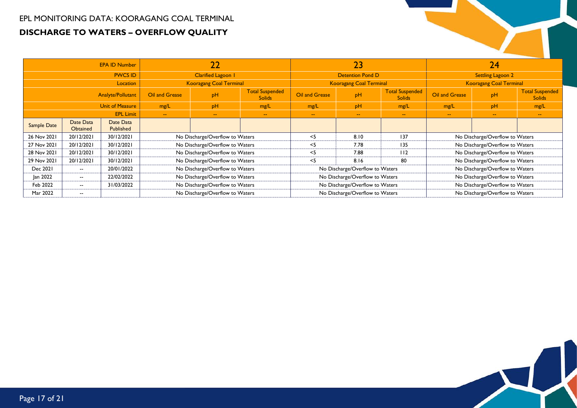|                        |                              | <b>EPA ID Number</b>          |                                 | $\overline{22}$                 |                                         |                                 | 23                              |                                         |                                 | 24                              |                                         |  |
|------------------------|------------------------------|-------------------------------|---------------------------------|---------------------------------|-----------------------------------------|---------------------------------|---------------------------------|-----------------------------------------|---------------------------------|---------------------------------|-----------------------------------------|--|
|                        |                              | <b>PWCS ID</b>                |                                 | Clarified Lagoon 1              |                                         |                                 | <b>Detention Pond D</b>         |                                         |                                 | <b>Settling Lagoon 2</b>        |                                         |  |
| Location               |                              |                               |                                 | <b>Kooragang Coal Terminal</b>  |                                         |                                 | <b>Kooragang Coal Terminal</b>  |                                         |                                 | <b>Kooragang Coal Terminal</b>  |                                         |  |
| Analyte/Pollutant      |                              |                               | Oil and Grease                  | pH                              | <b>Total Suspended</b><br><b>Solids</b> | Oil and Grease                  | pH                              | <b>Total Suspended</b><br><b>Solids</b> | Oil and Grease                  | pH                              | <b>Total Suspended</b><br><b>Solids</b> |  |
| <b>Unit of Measure</b> |                              | mg/L                          | pH                              | mg/L                            | mg/L                                    | pH                              | mg/L                            | mg/L                                    | pH                              | mg/L                            |                                         |  |
| <b>EPL Limit</b>       |                              |                               | $\sim$                          | $\sim$                          | $\sim$                                  | $\overline{\phantom{m}}$        | $\sim$                          | $\sim$                                  | $\sim$ $\sim$                   | $\sim$                          | $\sim$                                  |  |
| Sample Date            | Date Data<br><b>Obtained</b> | Date Data<br><b>Published</b> |                                 |                                 |                                         |                                 |                                 |                                         |                                 |                                 |                                         |  |
| 26 Nov 2021            | 20/12/2021                   | 30/12/2021                    |                                 | No Discharge/Overflow to Waters |                                         | $<$ 5                           | 8.10                            | 137                                     |                                 | No Discharge/Overflow to Waters |                                         |  |
| 27 Nov 2021            | 20/12/2021                   | 30/12/2021                    |                                 | No Discharge/Overflow to Waters |                                         | <5                              | 7.78                            | 135                                     | No Discharge/Overflow to Waters |                                 |                                         |  |
| 28 Nov 2021            | 20/12/2021                   | 30/12/2021                    |                                 | No Discharge/Overflow to Waters |                                         | - <5                            | 7.88                            | 112                                     |                                 | No Discharge/Overflow to Waters |                                         |  |
| 29 Nov 2021            | 20/12/2021                   | 30/12/2021                    |                                 | No Discharge/Overflow to Waters |                                         | $<$ 5                           | 8.16                            | 80                                      |                                 | No Discharge/Overflow to Waters |                                         |  |
| Dec 2021               | $\overline{\phantom{a}}$     | 20/01/2022                    |                                 | No Discharge/Overflow to Waters |                                         |                                 | No Discharge/Overflow to Waters |                                         |                                 | No Discharge/Overflow to Waters |                                         |  |
| Jan 2022               | $\overline{\phantom{a}}$     | 22/02/2022                    | No Discharge/Overflow to Waters |                                 |                                         | No Discharge/Overflow to Waters |                                 |                                         |                                 | No Discharge/Overflow to Waters |                                         |  |
| Feb 2022               | $\overline{\phantom{a}}$     | 31/03/2022                    | No Discharge/Overflow to Waters |                                 |                                         | No Discharge/Overflow to Waters |                                 |                                         |                                 | No Discharge/Overflow to Waters |                                         |  |
| Mar 2022               | $\overline{\phantom{a}}$     |                               |                                 | No Discharge/Overflow to Waters |                                         | No Discharge/Overflow to Waters |                                 |                                         | No Discharge/Overflow to Waters |                                 |                                         |  |

$$
\overline{\phantom{a}}\hspace{-0.1cm}=\hspace{-0.1cm}\sqrt{2}
$$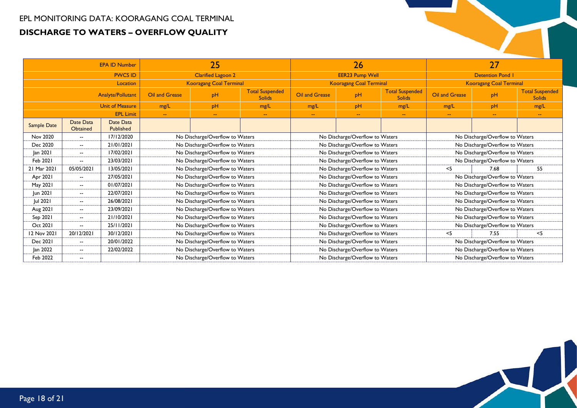| <b>EPA ID Number</b> |                              |                        |                                 | 25                              |               | 26<br><b>EER23 Pump Well</b><br><b>Kooragang Coal Terminal</b><br><b>Total Suspended</b><br><b>Oil and Grease</b><br>pH<br><b>Solids</b><br>pH<br>mg/L<br>mg/L<br>$\sim$ $\sim$<br>$\sim$<br>$\sim$ |                                 |  |                                 |                                 |                                         |  |  |
|----------------------|------------------------------|------------------------|---------------------------------|---------------------------------|---------------|-----------------------------------------------------------------------------------------------------------------------------------------------------------------------------------------------------|---------------------------------|--|---------------------------------|---------------------------------|-----------------------------------------|--|--|
|                      |                              | <b>PWCS ID</b>         |                                 | <b>Clarified Lagoon 2</b>       |               |                                                                                                                                                                                                     |                                 |  |                                 | <b>Detention Pond I</b>         |                                         |  |  |
|                      |                              | Location               |                                 | <b>Kooragang Coal Terminal</b>  |               |                                                                                                                                                                                                     |                                 |  |                                 | <b>Kooragang Coal Terminal</b>  |                                         |  |  |
| Analyte/Pollutant    |                              |                        | <b>Oil and Grease</b>           | pH                              |               |                                                                                                                                                                                                     |                                 |  | <b>Oil and Grease</b>           | pH                              | <b>Total Suspended</b><br><b>Solids</b> |  |  |
|                      |                              | <b>Unit of Measure</b> | mg/L                            | pH                              | mg/L          |                                                                                                                                                                                                     |                                 |  | mg/L                            | pH                              | mg/L                                    |  |  |
| <b>EPL Limit</b>     |                              |                        | $\sim$                          | $\sim$                          | $\sim$ $\sim$ |                                                                                                                                                                                                     |                                 |  | $\mathbf{u}$                    | 44                              | $\sim$ $\sim$                           |  |  |
| <b>Sample Date</b>   | Date Data<br><b>Obtained</b> | Date Data<br>Published |                                 |                                 |               |                                                                                                                                                                                                     |                                 |  |                                 |                                 |                                         |  |  |
| Nov 2020             | $\overline{\phantom{a}}$     | 17/12/2020             |                                 | No Discharge/Overflow to Waters |               |                                                                                                                                                                                                     | No Discharge/Overflow to Waters |  |                                 | No Discharge/Overflow to Waters |                                         |  |  |
| Dec 2020             | $\overline{\phantom{a}}$     | 21/01/2021             |                                 | No Discharge/Overflow to Waters |               |                                                                                                                                                                                                     | No Discharge/Overflow to Waters |  | No Discharge/Overflow to Waters |                                 |                                         |  |  |
| Jan 2021             | $\overline{\phantom{a}}$     | 17/02/2021             | No Discharge/Overflow to Waters |                                 |               |                                                                                                                                                                                                     | No Discharge/Overflow to Waters |  |                                 | No Discharge/Overflow to Waters |                                         |  |  |
| Feb 2021             | $\overline{\phantom{a}}$     | 23/03/2021             | No Discharge/Overflow to Waters |                                 |               |                                                                                                                                                                                                     | No Discharge/Overflow to Waters |  |                                 | No Discharge/Overflow to Waters |                                         |  |  |
| 21 Mar 2021          | 05/05/2021                   | 13/05/2021             |                                 | No Discharge/Overflow to Waters |               |                                                                                                                                                                                                     | No Discharge/Overflow to Waters |  | $<$ 5                           | 7.68                            | 55                                      |  |  |
| Apr 2021             | $\overline{\phantom{a}}$     | 27/05/2021             |                                 | No Discharge/Overflow to Waters |               | No Discharge/Overflow to Waters                                                                                                                                                                     |                                 |  |                                 | No Discharge/Overflow to Waters |                                         |  |  |
| May 2021             | $\overline{\phantom{a}}$     | 01/07/2021             |                                 | No Discharge/Overflow to Waters |               | No Discharge/Overflow to Waters                                                                                                                                                                     |                                 |  |                                 |                                 | No Discharge/Overflow to Waters         |  |  |
| Jun 2021             | $\overline{\phantom{a}}$     | 22/07/2021             |                                 | No Discharge/Overflow to Waters |               |                                                                                                                                                                                                     | No Discharge/Overflow to Waters |  |                                 | No Discharge/Overflow to Waters |                                         |  |  |
| Jul 2021             | $\overline{\phantom{a}}$     | 26/08/2021             |                                 | No Discharge/Overflow to Waters |               |                                                                                                                                                                                                     | No Discharge/Overflow to Waters |  |                                 | No Discharge/Overflow to Waters |                                         |  |  |
| Aug 2021             | $\overline{\phantom{a}}$     | 23/09/2021             |                                 | No Discharge/Overflow to Waters |               |                                                                                                                                                                                                     | No Discharge/Overflow to Waters |  |                                 | No Discharge/Overflow to Waters |                                         |  |  |
| Sep 2021             | $\overline{\phantom{a}}$     | 21/10/2021             |                                 | No Discharge/Overflow to Waters |               |                                                                                                                                                                                                     | No Discharge/Overflow to Waters |  |                                 | No Discharge/Overflow to Waters |                                         |  |  |
| Oct 2021             | $\overline{\phantom{a}}$     | 25/11/2021             |                                 | No Discharge/Overflow to Waters |               |                                                                                                                                                                                                     | No Discharge/Overflow to Waters |  |                                 | No Discharge/Overflow to Waters |                                         |  |  |
| 12 Nov 2021          | 20/12/2021                   | 30/12/2021             |                                 | No Discharge/Overflow to Waters |               |                                                                                                                                                                                                     | No Discharge/Overflow to Waters |  | $<$ 5                           | 7.55                            | $<$ 5                                   |  |  |
| Dec 2021             | $\overline{\phantom{a}}$     | 20/01/2022             |                                 | No Discharge/Overflow to Waters |               |                                                                                                                                                                                                     | No Discharge/Overflow to Waters |  |                                 | No Discharge/Overflow to Waters |                                         |  |  |
| Jan 2022             | $\overline{\phantom{a}}$     | 22/02/2022             |                                 | No Discharge/Overflow to Waters |               | No Discharge/Overflow to Waters                                                                                                                                                                     |                                 |  |                                 |                                 | No Discharge/Overflow to Waters         |  |  |
| Feb 2022             | $\overline{\phantom{a}}$     |                        |                                 | No Discharge/Overflow to Waters |               |                                                                                                                                                                                                     | No Discharge/Overflow to Waters |  |                                 | No Discharge/Overflow to Waters |                                         |  |  |

 $\Box$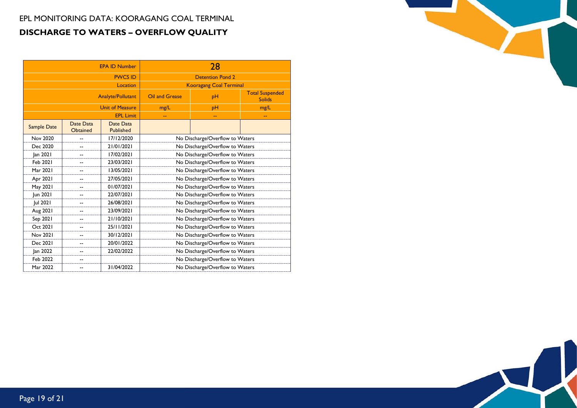|                    |                              | <b>EPA ID Number</b>     |                                 | 28                              |                                         |  |  |  |
|--------------------|------------------------------|--------------------------|---------------------------------|---------------------------------|-----------------------------------------|--|--|--|
|                    |                              | <b>PWCS ID</b>           |                                 | <b>Detention Pond 2</b>         |                                         |  |  |  |
|                    |                              | Location                 |                                 | <b>Kooragang Coal Terminal</b>  |                                         |  |  |  |
|                    |                              | <b>Analyte/Pollutant</b> | Oil and Grease                  | pH                              | <b>Total Suspended</b><br><b>Solids</b> |  |  |  |
|                    |                              | <b>Unit of Measure</b>   | mg/L                            | pН                              | mg/L                                    |  |  |  |
|                    |                              | <b>EPL Limit</b>         |                                 | --                              |                                         |  |  |  |
| <b>Sample Date</b> | Date Data<br><b>Obtained</b> | Date Data<br>Published   |                                 |                                 |                                         |  |  |  |
| Nov 2020           |                              | 17/12/2020               |                                 | No Discharge/Overflow to Waters |                                         |  |  |  |
| Dec 2020           |                              | 21/01/2021               |                                 | No Discharge/Overflow to Waters |                                         |  |  |  |
| Jan 2021           |                              | 17/02/2021               | No Discharge/Overflow to Waters |                                 |                                         |  |  |  |
| Feb 2021           | --                           | 23/03/2021               |                                 | No Discharge/Overflow to Waters |                                         |  |  |  |
| Mar 2021           | --                           | 13/05/2021               |                                 | No Discharge/Overflow to Waters |                                         |  |  |  |
| Apr 2021           |                              | 27/05/2021               |                                 | No Discharge/Overflow to Waters |                                         |  |  |  |
| May 2021           |                              | 01/07/2021               | No Discharge/Overflow to Waters |                                 |                                         |  |  |  |
| Jun 2021           |                              | 22/07/2021               |                                 | No Discharge/Overflow to Waters |                                         |  |  |  |
| Jul 2021           | --                           | 26/08/2021               |                                 | No Discharge/Overflow to Waters |                                         |  |  |  |
| Aug 2021           | --                           | 23/09/2021               |                                 | No Discharge/Overflow to Waters |                                         |  |  |  |
| Sep 2021           | --                           | 21/10/2021               |                                 | No Discharge/Overflow to Waters |                                         |  |  |  |
| Oct 2021           | --                           | 25/11/2021               |                                 | No Discharge/Overflow to Waters |                                         |  |  |  |
| <b>Nov 2021</b>    | --                           | 30/12/2021               |                                 | No Discharge/Overflow to Waters |                                         |  |  |  |
| Dec 2021           |                              | 20/01/2022               |                                 | No Discharge/Overflow to Waters |                                         |  |  |  |
| Jan 2022           |                              | 22/02/2022               | No Discharge/Overflow to Waters |                                 |                                         |  |  |  |
| Feb 2022           | --                           |                          | No Discharge/Overflow to Waters |                                 |                                         |  |  |  |
| Mar 2022           | --                           | 31/04/2022               |                                 | No Discharge/Overflow to Waters |                                         |  |  |  |

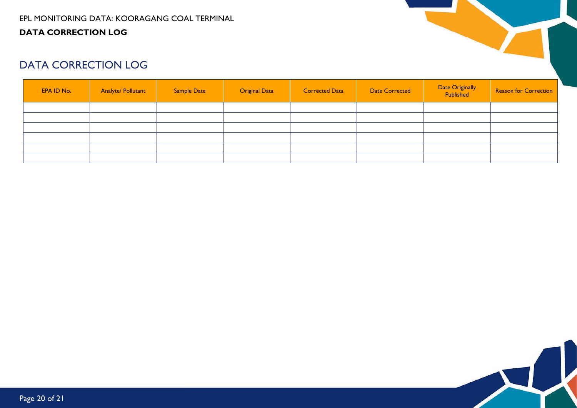#### EPL MONITORING DATA: KOORAGANG COAL TERMINAL **DATA CORRECTION LOG**



# DATA CORRECTION LOG

<span id="page-19-0"></span>

| EPA ID No. | <b>Analyte/ Pollutant</b> | Sample Date | <b>Original Data</b> | <b>Corrected Data</b> | <b>Date Corrected</b> | Date Originally<br>Published | <b>Reason for Correction</b> |
|------------|---------------------------|-------------|----------------------|-----------------------|-----------------------|------------------------------|------------------------------|
|            |                           |             |                      |                       |                       |                              |                              |
|            |                           |             |                      |                       |                       |                              |                              |
|            |                           |             |                      |                       |                       |                              |                              |
|            |                           |             |                      |                       |                       |                              |                              |
|            |                           |             |                      |                       |                       |                              |                              |
|            |                           |             |                      |                       |                       |                              |                              |